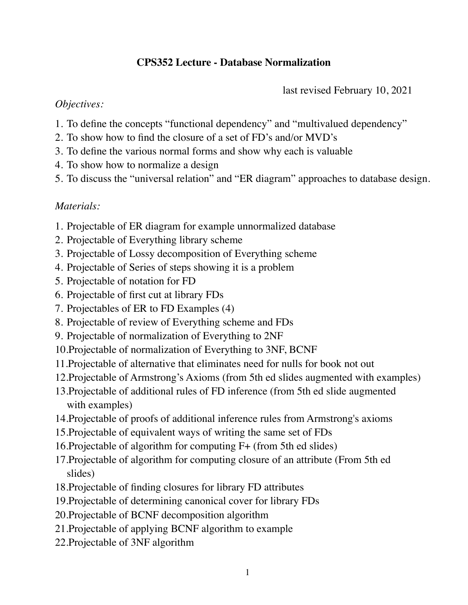# **CPS352 Lecture - Database Normalization**

last revised February 10, 2021

### *Objectives:*

- 1. To define the concepts "functional dependency" and "multivalued dependency"
- 2. To show how to find the closure of a set of FD's and/or MVD's
- 3. To define the various normal forms and show why each is valuable
- 4. To show how to normalize a design
- 5. To discuss the "universal relation" and "ER diagram" approaches to database design.

## *Materials:*

- 1. Projectable of ER diagram for example unnormalized database
- 2. Projectable of Everything library scheme
- 3. Projectable of Lossy decomposition of Everything scheme
- 4. Projectable of Series of steps showing it is a problem
- 5. Projectable of notation for FD
- 6. Projectable of first cut at library FDs
- 7. Projectables of ER to FD Examples (4)
- 8. Projectable of review of Everything scheme and FDs
- 9. Projectable of normalization of Everything to 2NF
- 10.Projectable of normalization of Everything to 3NF, BCNF
- 11.Projectable of alternative that eliminates need for nulls for book not out
- 12.Projectable of Armstrong's Axioms (from 5th ed slides augmented with examples)
- 13.Projectable of additional rules of FD inference (from 5th ed slide augmented with examples)
- 14.Projectable of proofs of additional inference rules from Armstrong's axioms
- 15.Projectable of equivalent ways of writing the same set of FDs
- 16.Projectable of algorithm for computing F+ (from 5th ed slides)
- 17.Projectable of algorithm for computing closure of an attribute (From 5th ed slides)
- 18.Projectable of finding closures for library FD attributes
- 19.Projectable of determining canonical cover for library FDs
- 20.Projectable of BCNF decomposition algorithm
- 21.Projectable of applying BCNF algorithm to example
- 22.Projectable of 3NF algorithm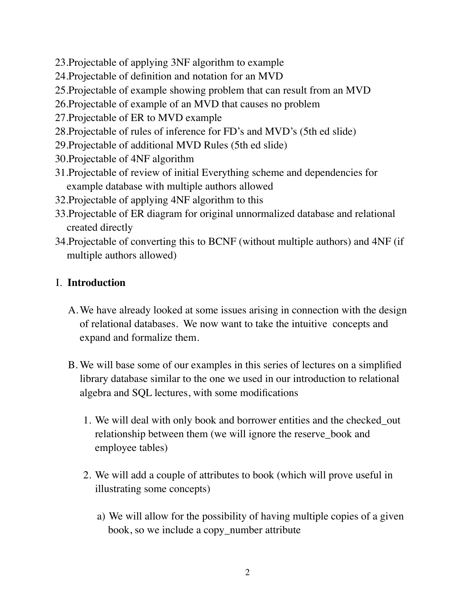- 23.Projectable of applying 3NF algorithm to example
- 24.Projectable of definition and notation for an MVD
- 25.Projectable of example showing problem that can result from an MVD
- 26.Projectable of example of an MVD that causes no problem
- 27.Projectable of ER to MVD example
- 28.Projectable of rules of inference for FD's and MVD's (5th ed slide)
- 29.Projectable of additional MVD Rules (5th ed slide)
- 30.Projectable of 4NF algorithm
- 31.Projectable of review of initial Everything scheme and dependencies for example database with multiple authors allowed
- 32.Projectable of applying 4NF algorithm to this
- 33.Projectable of ER diagram for original unnormalized database and relational created directly
- 34.Projectable of converting this to BCNF (without multiple authors) and 4NF (if multiple authors allowed)

# I. **Introduction**

- A.We have already looked at some issues arising in connection with the design of relational databases. We now want to take the intuitive concepts and expand and formalize them.
- B. We will base some of our examples in this series of lectures on a simplified library database similar to the one we used in our introduction to relational algebra and SQL lectures, with some modifications
	- 1. We will deal with only book and borrower entities and the checked\_out relationship between them (we will ignore the reserve\_book and employee tables)
	- 2. We will add a couple of attributes to book (which will prove useful in illustrating some concepts)
		- a) We will allow for the possibility of having multiple copies of a given book, so we include a copy\_number attribute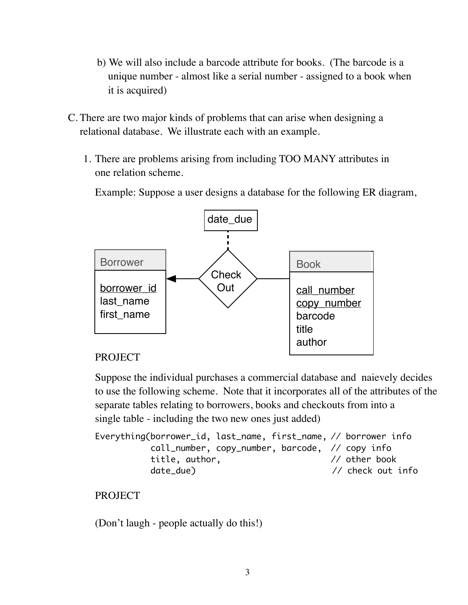- b) We will also include a barcode attribute for books. (The barcode is a unique number - almost like a serial number - assigned to a book when it is acquired)
- C. There are two major kinds of problems that can arise when designing a relational database. We illustrate each with an example.
	- 1. There are problems arising from including TOO MANY attributes in one relation scheme.

Example: Suppose a user designs a database for the following ER diagram,



## PROJECT

Suppose the individual purchases a commercial database and naievely decides to use the following scheme. Note that it incorporates all of the attributes of the separate tables relating to borrowers, books and checkouts from into a single table - including the two new ones just added)

```
Everything(borrower_id, last_name, first_name, // borrower info
             call_number, copy_number, barcode, // copy info
            title, author, \frac{1}{2} author, \frac{1}{2} other book
            date_due) \frac{1}{2} date_due \frac{1}{2} date_due \frac{1}{2} check out info
```

```
PROJECT
```
(Don't laugh - people actually do this!)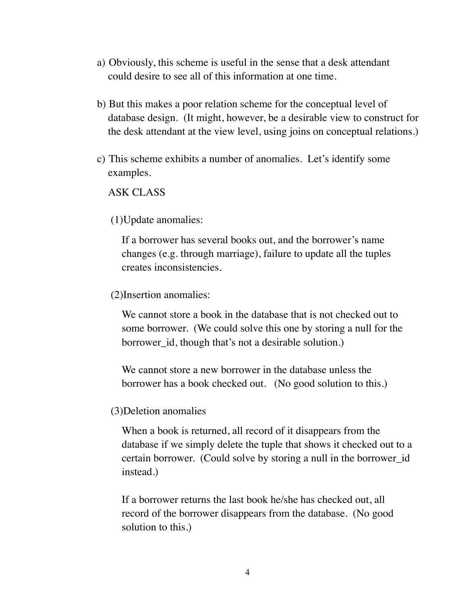- a) Obviously, this scheme is useful in the sense that a desk attendant could desire to see all of this information at one time.
- b) But this makes a poor relation scheme for the conceptual level of database design. (It might, however, be a desirable view to construct for the desk attendant at the view level, using joins on conceptual relations.)
- c) This scheme exhibits a number of anomalies. Let's identify some examples.

ASK CLASS

(1)Update anomalies:

If a borrower has several books out, and the borrower's name changes (e.g. through marriage), failure to update all the tuples creates inconsistencies.

(2)Insertion anomalies:

We cannot store a book in the database that is not checked out to some borrower. (We could solve this one by storing a null for the borrower id, though that's not a desirable solution.)

We cannot store a new borrower in the database unless the borrower has a book checked out. (No good solution to this.)

(3)Deletion anomalies

When a book is returned, all record of it disappears from the database if we simply delete the tuple that shows it checked out to a certain borrower. (Could solve by storing a null in the borrower\_id instead.)

If a borrower returns the last book he/she has checked out, all record of the borrower disappears from the database. (No good solution to this.)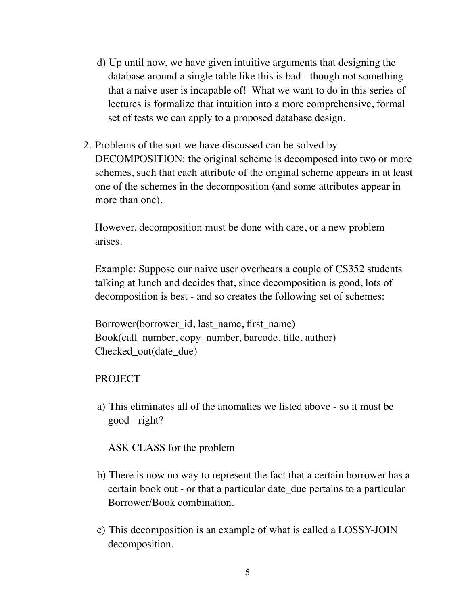- d) Up until now, we have given intuitive arguments that designing the database around a single table like this is bad - though not something that a naive user is incapable of! What we want to do in this series of lectures is formalize that intuition into a more comprehensive, formal set of tests we can apply to a proposed database design.
- 2. Problems of the sort we have discussed can be solved by DECOMPOSITION: the original scheme is decomposed into two or more schemes, such that each attribute of the original scheme appears in at least one of the schemes in the decomposition (and some attributes appear in more than one).

However, decomposition must be done with care, or a new problem arises.

Example: Suppose our naive user overhears a couple of CS352 students talking at lunch and decides that, since decomposition is good, lots of decomposition is best - and so creates the following set of schemes:

Borrower(borrower\_id, last\_name, first\_name) Book(call\_number, copy\_number, barcode, title, author) Checked out(date due)

## PROJECT

a) This eliminates all of the anomalies we listed above - so it must be good - right?

ASK CLASS for the problem

- b) There is now no way to represent the fact that a certain borrower has a certain book out - or that a particular date\_due pertains to a particular Borrower/Book combination.
- c) This decomposition is an example of what is called a LOSSY-JOIN decomposition.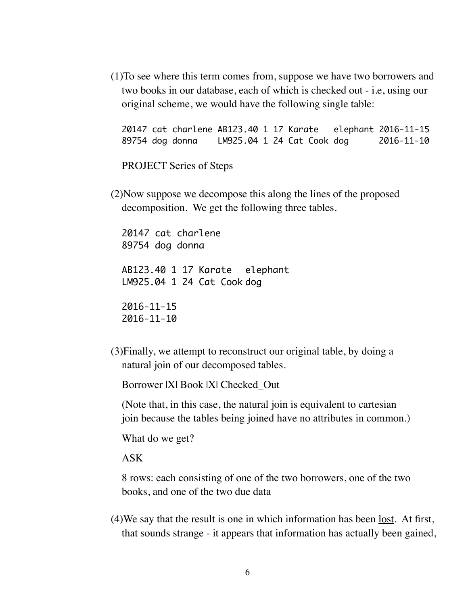(1)To see where this term comes from, suppose we have two borrowers and two books in our database, each of which is checked out - i.e, using our original scheme, we would have the following single table:

20147 cat charlene AB123.40 1 17 Karate elephant 2016-11-15 89754 dog donna LM925.04 1 24 Cat Cook dog 2016-11-10

PROJECT Series of Steps

(2)Now suppose we decompose this along the lines of the proposed decomposition. We get the following three tables.

20147 cat charlene 89754 dog donna AB123.40 1 17 Karate elephant LM925.04 1 24 Cat Cook dog 2016-11-15 2016-11-10

(3)Finally, we attempt to reconstruct our original table, by doing a natural join of our decomposed tables.

Borrower |X| Book |X| Checked\_Out

(Note that, in this case, the natural join is equivalent to cartesian join because the tables being joined have no attributes in common.)

What do we get?

ASK

8 rows: each consisting of one of the two borrowers, one of the two books, and one of the two due data

(4)We say that the result is one in which information has been lost. At first, that sounds strange - it appears that information has actually been gained,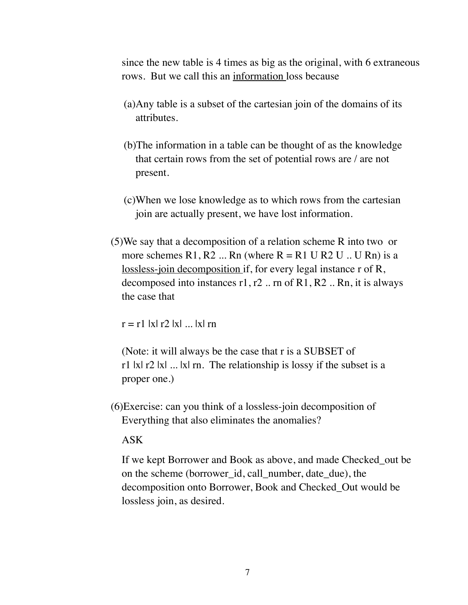since the new table is 4 times as big as the original, with 6 extraneous rows. But we call this an information loss because

- (a)Any table is a subset of the cartesian join of the domains of its attributes.
- (b)The information in a table can be thought of as the knowledge that certain rows from the set of potential rows are / are not present.
- (c)When we lose knowledge as to which rows from the cartesian join are actually present, we have lost information.
- (5)We say that a decomposition of a relation scheme R into two or more schemes R1, R2 ... Rn (where  $R = R1 U R2 U$  .. U Rn) is a lossless-join decomposition if, for every legal instance r of R, decomposed into instances  $r1, r2$ .. rn of R1, R2.. Rn, it is always the case that

 $r = r1$  |x|  $r2$  |x| ... |x| rn

(Note: it will always be the case that r is a SUBSET of r1 |x|  $r2$  |x| ... |x| rn. The relationship is lossy if the subset is a proper one.)

(6)Exercise: can you think of a lossless-join decomposition of Everything that also eliminates the anomalies?

#### ASK

If we kept Borrower and Book as above, and made Checked\_out be on the scheme (borrower\_id, call\_number, date\_due), the decomposition onto Borrower, Book and Checked\_Out would be lossless join, as desired.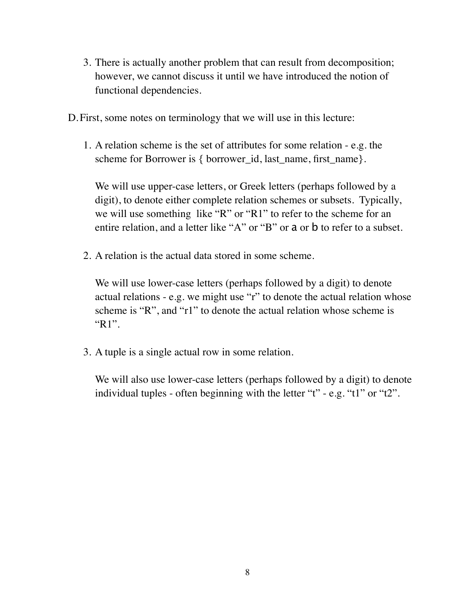3. There is actually another problem that can result from decomposition; however, we cannot discuss it until we have introduced the notion of functional dependencies.

D.First, some notes on terminology that we will use in this lecture:

1. A relation scheme is the set of attributes for some relation - e.g. the scheme for Borrower is { borrower id, last\_name, first\_name}.

We will use upper-case letters, or Greek letters (perhaps followed by a digit), to denote either complete relation schemes or subsets. Typically, we will use something like "R" or "R1" to refer to the scheme for an entire relation, and a letter like "A" or "B" or a or b to refer to a subset.

2. A relation is the actual data stored in some scheme.

We will use lower-case letters (perhaps followed by a digit) to denote actual relations - e.g. we might use "r" to denote the actual relation whose scheme is "R", and "r1" to denote the actual relation whose scheme is "R1".

3. A tuple is a single actual row in some relation.

We will also use lower-case letters (perhaps followed by a digit) to denote individual tuples - often beginning with the letter "t" - e.g. "t1" or "t2".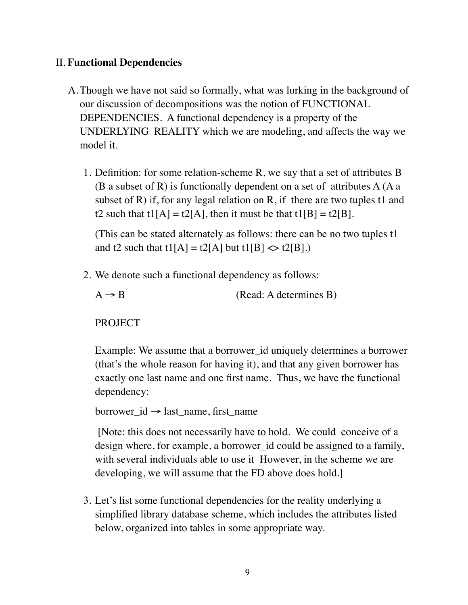# II. **Functional Dependencies**

- A.Though we have not said so formally, what was lurking in the background of our discussion of decompositions was the notion of FUNCTIONAL DEPENDENCIES. A functional dependency is a property of the UNDERLYING REALITY which we are modeling, and affects the way we model it.
	- 1. Definition: for some relation-scheme R, we say that a set of attributes B (B a subset of R) is functionally dependent on a set of attributes  $A(Aa)$ subset of R) if, for any legal relation on R, if there are two tuples t1 and t2 such that  $t1[A] = t2[A]$ , then it must be that  $t1[B] = t2[B]$ .

(This can be stated alternately as follows: there can be no two tuples t1 and t2 such that t1[A] = t2[A] but t1[B]  $\langle$  t2[B].)

2. We denote such a functional dependency as follows:

 $A \rightarrow B$  (Read: A determines B)

PROJECT

Example: We assume that a borrower\_id uniquely determines a borrower (that's the whole reason for having it), and that any given borrower has exactly one last name and one first name. Thus, we have the functional dependency:

```
borrower_id → last_name, first_name
```
 [Note: this does not necessarily have to hold. We could conceive of a design where, for example, a borrower\_id could be assigned to a family, with several individuals able to use it However, in the scheme we are developing, we will assume that the FD above does hold.]

3. Let's list some functional dependencies for the reality underlying a simplified library database scheme, which includes the attributes listed below, organized into tables in some appropriate way.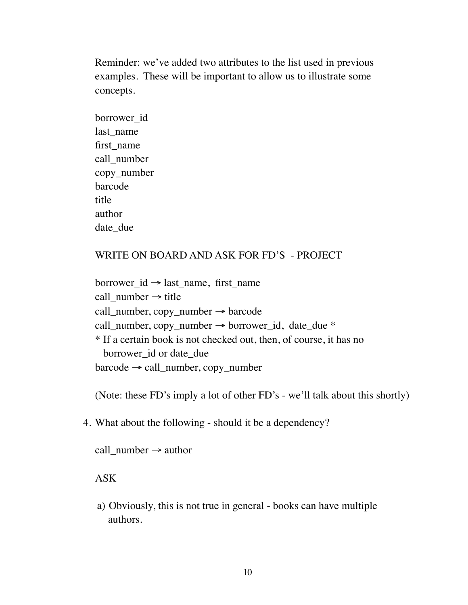Reminder: we've added two attributes to the list used in previous examples. These will be important to allow us to illustrate some concepts.

borrower\_id last name first\_name call\_number copy\_number barcode title author date due

### WRITE ON BOARD AND ASK FOR FD'S - PROJECT

borrower  $id \rightarrow last$  name, first name call\_number  $\rightarrow$  title call\_number, copy\_number  $\rightarrow$  barcode call\_number, copy\_number  $\rightarrow$  borrower\_id, date\_due  $*$ \* If a certain book is not checked out, then, of course, it has no borrower id or date due  $barcode \rightarrow call_number$ , copy\_number

(Note: these FD's imply a lot of other FD's - we'll talk about this shortly)

4. What about the following - should it be a dependency?

call\_number  $\rightarrow$  author

ASK

a) Obviously, this is not true in general - books can have multiple authors.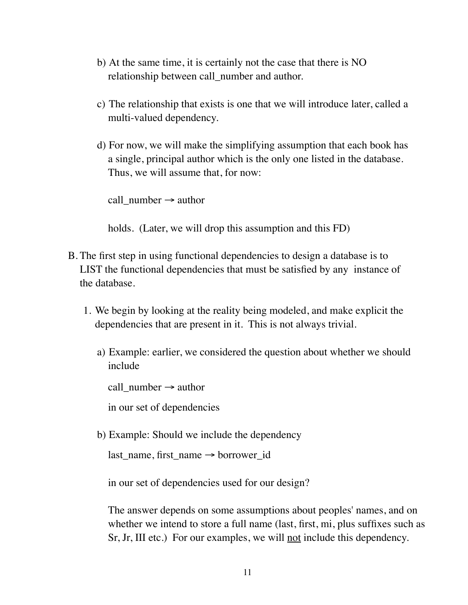- b) At the same time, it is certainly not the case that there is NO relationship between call number and author.
- c) The relationship that exists is one that we will introduce later, called a multi-valued dependency.
- d) For now, we will make the simplifying assumption that each book has a single, principal author which is the only one listed in the database. Thus, we will assume that, for now:

call\_number  $\rightarrow$  author

holds. (Later, we will drop this assumption and this FD)

- B. The first step in using functional dependencies to design a database is to LIST the functional dependencies that must be satisfied by any instance of the database.
	- 1. We begin by looking at the reality being modeled, and make explicit the dependencies that are present in it. This is not always trivial.
		- a) Example: earlier, we considered the question about whether we should include

call\_number  $\rightarrow$  author

in our set of dependencies

b) Example: Should we include the dependency

```
last_name, first_name → borrower_id
```
in our set of dependencies used for our design?

The answer depends on some assumptions about peoples' names, and on whether we intend to store a full name (last, first, mi, plus suffixes such as Sr, Jr, III etc.) For our examples, we will <u>not</u> include this dependency.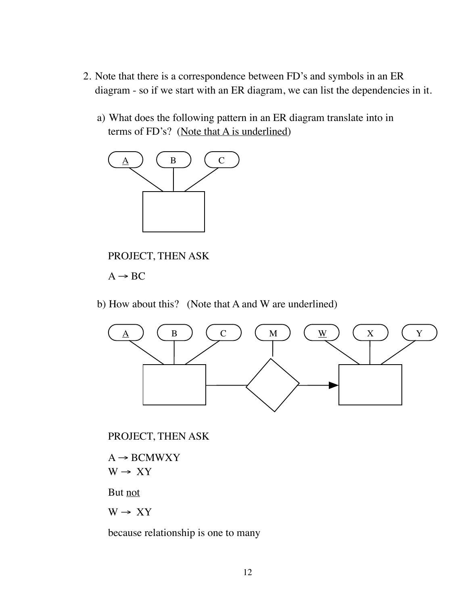- 2. Note that there is a correspondence between FD's and symbols in an ER diagram - so if we start with an ER diagram, we can list the dependencies in it.
	- a) What does the following pattern in an ER diagram translate into in terms of FD's? (Note that A is underlined)



PROJECT, THEN ASK

 $A \rightarrow BC$ 

b) How about this? (Note that A and W are underlined)



PROJECT, THEN ASK

 $A \rightarrow BCMWXY$  $W \rightarrow XY$ 

But not

 $W \rightarrow XY$ 

because relationship is one to many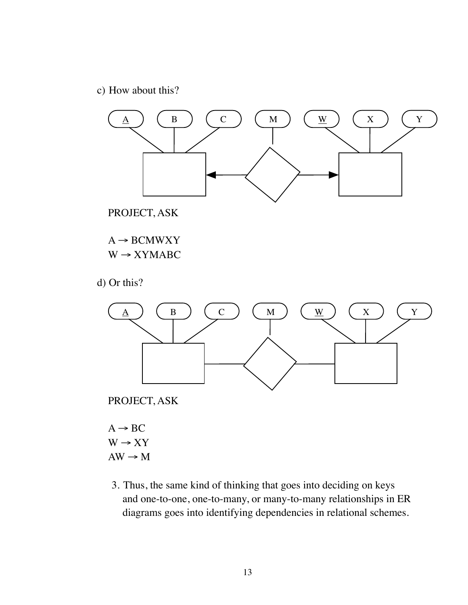c) How about this?



PROJECT, ASK

 $A \rightarrow BCMWXY$  $W \rightarrow XYMABC$ 

d) Or this?



PROJECT, ASK

 $A \rightarrow BC$  $W \rightarrow XY$  $AW \rightarrow M$ 

3. Thus, the same kind of thinking that goes into deciding on keys and one-to-one, one-to-many, or many-to-many relationships in ER diagrams goes into identifying dependencies in relational schemes.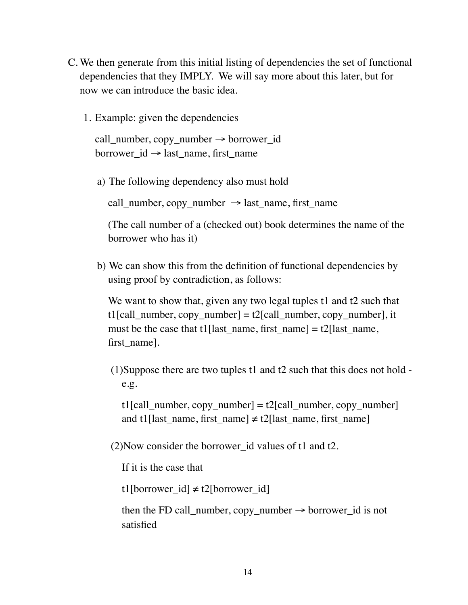- C. We then generate from this initial listing of dependencies the set of functional dependencies that they IMPLY. We will say more about this later, but for now we can introduce the basic idea.
	- 1. Example: given the dependencies

```
call_number, copy_number → borrower_id 
borrower id \rightarrow last name, first name
```
a) The following dependency also must hold

call number, copy number  $\rightarrow$  last name, first name

(The call number of a (checked out) book determines the name of the borrower who has it)

b) We can show this from the definition of functional dependencies by using proof by contradiction, as follows:

We want to show that, given any two legal tuples t1 and t2 such that t1[call\_number, copy\_number] = t2[call\_number, copy\_number], it must be the case that t1 [last\_name, first\_name] = t2[last\_name, first name].

(1)Suppose there are two tuples t1 and t2 such that this does not hold e.g.

 $t1$ [call\_number, copy\_number] =  $t2$ [call\_number, copy\_number] and t1[last\_name, first\_name]  $\neq$  t2[last\_name, first\_name]

(2)Now consider the borrower\_id values of t1 and t2.

If it is the case that

t1[borrower\_id]  $\neq$  t2[borrower\_id]

then the FD call\_number, copy\_number  $\rightarrow$  borrower\_id is not satisfied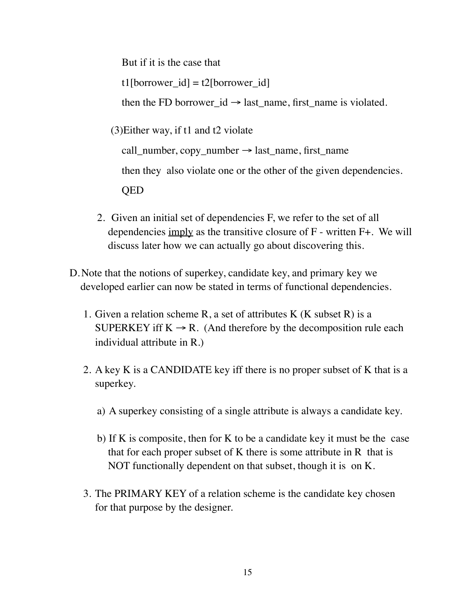But if it is the case that  $t1$ [borrower\_id] =  $t2$ [borrower\_id] then the FD borrower  $id \rightarrow$  last name, first name is violated.

(3)Either way, if t1 and t2 violate

call\_number,  $copy_number \rightarrow last_name$ , first\_name

then they also violate one or the other of the given dependencies.

QED

- 2. Given an initial set of dependencies F, we refer to the set of all dependencies imply as the transitive closure of F - written F+. We will discuss later how we can actually go about discovering this.
- D.Note that the notions of superkey, candidate key, and primary key we developed earlier can now be stated in terms of functional dependencies.
	- 1. Given a relation scheme R, a set of attributes K  $(K$  subset R) is a SUPERKEY iff  $K \rightarrow R$ . (And therefore by the decomposition rule each individual attribute in R.)
	- 2. A key K is a CANDIDATE key iff there is no proper subset of K that is a superkey.
		- a) A superkey consisting of a single attribute is always a candidate key.
		- b) If K is composite, then for K to be a candidate key it must be the case that for each proper subset of K there is some attribute in R that is NOT functionally dependent on that subset, though it is on K.
	- 3. The PRIMARY KEY of a relation scheme is the candidate key chosen for that purpose by the designer.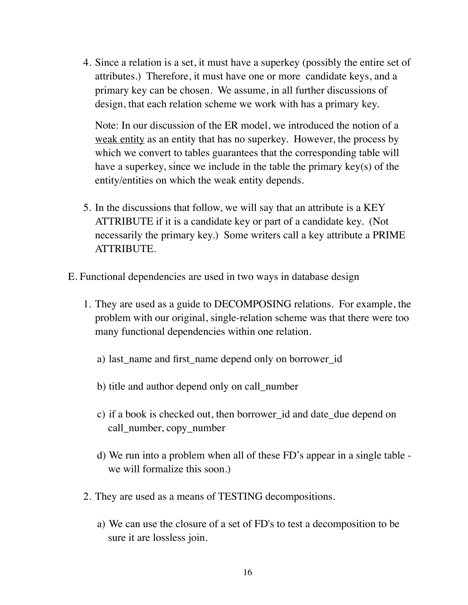4. Since a relation is a set, it must have a superkey (possibly the entire set of attributes.) Therefore, it must have one or more candidate keys, and a primary key can be chosen. We assume, in all further discussions of design, that each relation scheme we work with has a primary key.

Note: In our discussion of the ER model, we introduced the notion of a weak entity as an entity that has no superkey. However, the process by which we convert to tables guarantees that the corresponding table will have a superkey, since we include in the table the primary key(s) of the entity/entities on which the weak entity depends.

- 5. In the discussions that follow, we will say that an attribute is a KEY ATTRIBUTE if it is a candidate key or part of a candidate key. (Not necessarily the primary key.) Some writers call a key attribute a PRIME ATTRIBUTE.
- E. Functional dependencies are used in two ways in database design
	- 1. They are used as a guide to DECOMPOSING relations. For example, the problem with our original, single-relation scheme was that there were too many functional dependencies within one relation.
		- a) last\_name and first\_name depend only on borrower\_id
		- b) title and author depend only on call\_number
		- c) if a book is checked out, then borrower\_id and date\_due depend on call\_number, copy\_number
		- d) We run into a problem when all of these FD's appear in a single table we will formalize this soon.)
	- 2. They are used as a means of TESTING decompositions.
		- a) We can use the closure of a set of FD's to test a decomposition to be sure it are lossless join.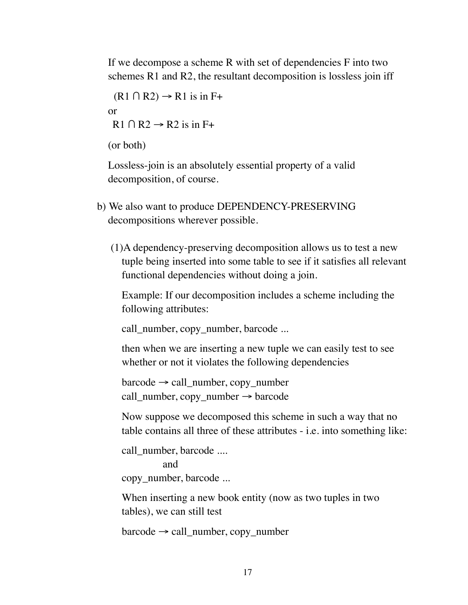If we decompose a scheme R with set of dependencies F into two schemes R1 and R2, the resultant decomposition is lossless join iff

 $(R1 \cap R2) \rightarrow R1$  is in F+ or  $R1 \cap R2 \rightarrow R2$  is in F+

(or both)

Lossless-join is an absolutely essential property of a valid decomposition, of course.

- b) We also want to produce DEPENDENCY-PRESERVING decompositions wherever possible.
	- (1)A dependency-preserving decomposition allows us to test a new tuple being inserted into some table to see if it satisfies all relevant functional dependencies without doing a join.

Example: If our decomposition includes a scheme including the following attributes:

call\_number, copy\_number, barcode ...

then when we are inserting a new tuple we can easily test to see whether or not it violates the following dependencies

 $barcode \rightarrow call_number$ , copy\_number call\_number, copy\_number  $\rightarrow$  barcode

Now suppose we decomposed this scheme in such a way that no table contains all three of these attributes - i.e. into something like:

call\_number, barcode .... and copy\_number, barcode ...

When inserting a new book entity (now as two tuples in two tables), we can still test

barcode → call\_number, copy\_number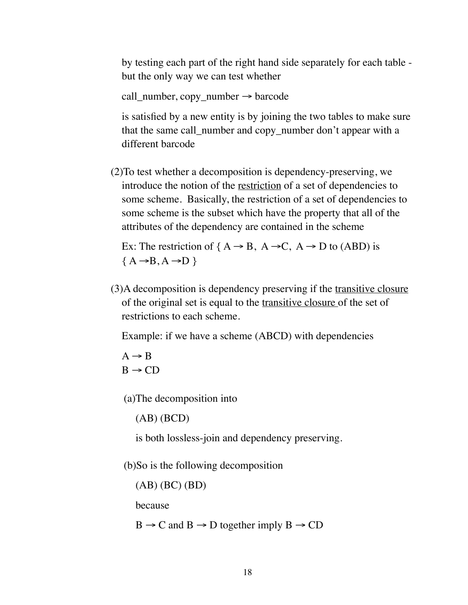by testing each part of the right hand side separately for each table but the only way we can test whether

call\_number, copy\_number  $\rightarrow$  barcode

is satisfied by a new entity is by joining the two tables to make sure that the same call number and copy number don't appear with a different barcode

(2)To test whether a decomposition is dependency-preserving, we introduce the notion of the restriction of a set of dependencies to some scheme. Basically, the restriction of a set of dependencies to some scheme is the subset which have the property that all of the attributes of the dependency are contained in the scheme

Ex: The restriction of  ${A \rightarrow B, A \rightarrow C, A \rightarrow D \text{ to (ABD) is}}$  ${A \rightarrow B, A \rightarrow D}$ 

(3)A decomposition is dependency preserving if the transitive closure of the original set is equal to the transitive closure of the set of restrictions to each scheme.

Example: if we have a scheme (ABCD) with dependencies

 $A \rightarrow B$  $B \rightarrow CD$ 

(a)The decomposition into

(AB) (BCD)

is both lossless-join and dependency preserving.

(b)So is the following decomposition

(AB) (BC) (BD)

because

 $B \to C$  and  $B \to D$  together imply  $B \to CD$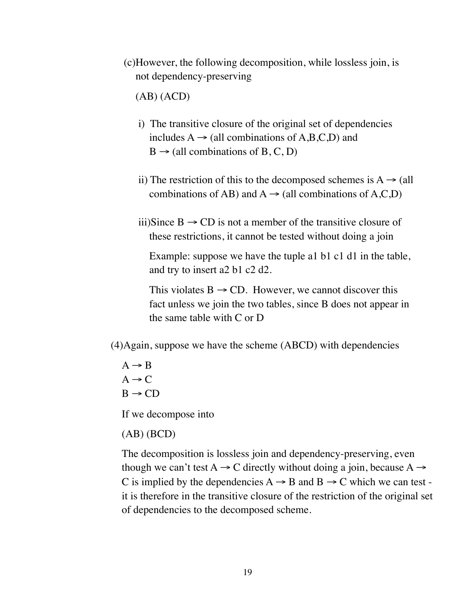(c)However, the following decomposition, while lossless join, is not dependency-preserving

(AB) (ACD)

- i) The transitive closure of the original set of dependencies includes  $A \rightarrow$  (all combinations of A,B,C,D) and  $B \rightarrow$  (all combinations of B, C, D)
- ii) The restriction of this to the decomposed schemes is  $A \rightarrow (all)$ combinations of AB) and  $A \rightarrow$  (all combinations of A,C,D)
- iii)Since  $B \rightarrow CD$  is not a member of the transitive closure of these restrictions, it cannot be tested without doing a join

Example: suppose we have the tuple a1 b1 c1 d1 in the table, and try to insert a2 b1 c2 d2.

This violates  $B \rightarrow CD$ . However, we cannot discover this fact unless we join the two tables, since B does not appear in the same table with C or D

(4)Again, suppose we have the scheme (ABCD) with dependencies

 $A \rightarrow B$  $A \rightarrow C$  $B \rightarrow CD$ 

If we decompose into

(AB) (BCD)

The decomposition is lossless join and dependency-preserving, even though we can't test  $A \rightarrow C$  directly without doing a join, because  $A \rightarrow C$ C is implied by the dependencies  $A \rightarrow B$  and  $B \rightarrow C$  which we can test it is therefore in the transitive closure of the restriction of the original set of dependencies to the decomposed scheme.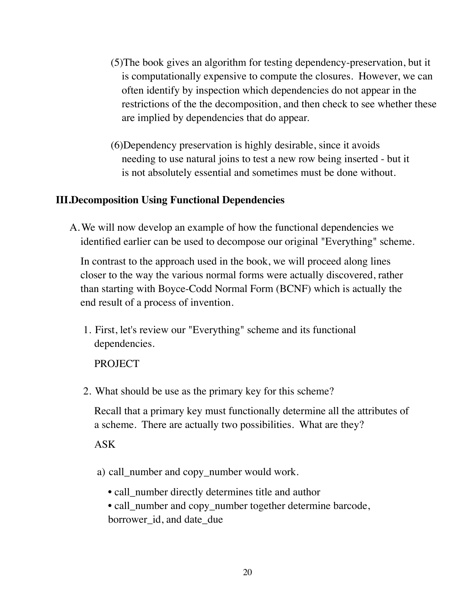- (5)The book gives an algorithm for testing dependency-preservation, but it is computationally expensive to compute the closures. However, we can often identify by inspection which dependencies do not appear in the restrictions of the the decomposition, and then check to see whether these are implied by dependencies that do appear.
- (6)Dependency preservation is highly desirable, since it avoids needing to use natural joins to test a new row being inserted - but it is not absolutely essential and sometimes must be done without.

### **III.Decomposition Using Functional Dependencies**

A.We will now develop an example of how the functional dependencies we identified earlier can be used to decompose our original "Everything" scheme.

In contrast to the approach used in the book, we will proceed along lines closer to the way the various normal forms were actually discovered, rather than starting with Boyce-Codd Normal Form (BCNF) which is actually the end result of a process of invention.

1. First, let's review our "Everything" scheme and its functional dependencies.

PROJECT

2. What should be use as the primary key for this scheme?

Recall that a primary key must functionally determine all the attributes of a scheme. There are actually two possibilities. What are they?

ASK

- a) call\_number and copy\_number would work.
	- call number directly determines title and author
	- call\_number and copy\_number together determine barcode,
	- borrower\_id, and date\_due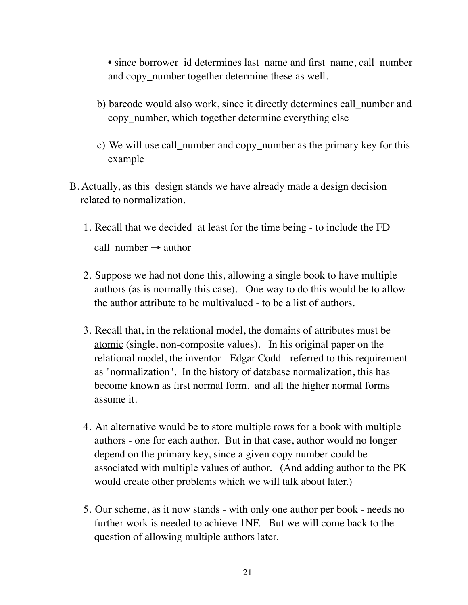• since borrower id determines last name and first name, call number and copy number together determine these as well.

- b) barcode would also work, since it directly determines call\_number and copy\_number, which together determine everything else
- c) We will use call\_number and copy\_number as the primary key for this example
- B. Actually, as this design stands we have already made a design decision related to normalization.
	- 1. Recall that we decided at least for the time being to include the FD call\_number  $\rightarrow$  author
	- 2. Suppose we had not done this, allowing a single book to have multiple authors (as is normally this case). One way to do this would be to allow the author attribute to be multivalued - to be a list of authors.
	- 3. Recall that, in the relational model, the domains of attributes must be atomic (single, non-composite values). In his original paper on the relational model, the inventor - Edgar Codd - referred to this requirement as "normalization". In the history of database normalization, this has become known as first normal form, and all the higher normal forms assume it.
	- 4. An alternative would be to store multiple rows for a book with multiple authors - one for each author. But in that case, author would no longer depend on the primary key, since a given copy number could be associated with multiple values of author. (And adding author to the PK would create other problems which we will talk about later.)
	- 5. Our scheme, as it now stands with only one author per book needs no further work is needed to achieve 1NF. But we will come back to the question of allowing multiple authors later.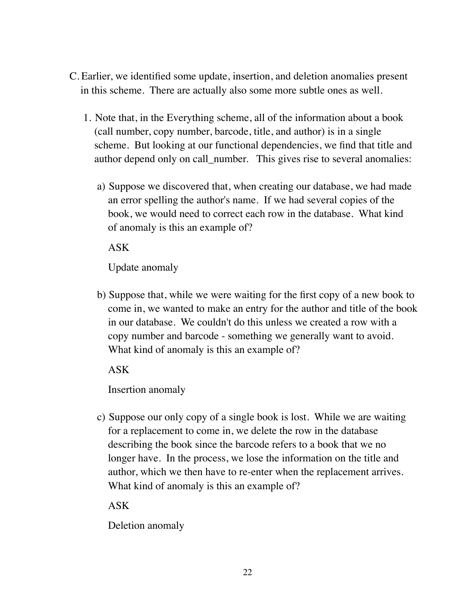- C. Earlier, we identified some update, insertion, and deletion anomalies present in this scheme. There are actually also some more subtle ones as well.
	- 1. Note that, in the Everything scheme, all of the information about a book (call number, copy number, barcode, title, and author) is in a single scheme. But looking at our functional dependencies, we find that title and author depend only on call number. This gives rise to several anomalies:
		- a) Suppose we discovered that, when creating our database, we had made an error spelling the author's name. If we had several copies of the book, we would need to correct each row in the database. What kind of anomaly is this an example of?

ASK

Update anomaly

b) Suppose that, while we were waiting for the first copy of a new book to come in, we wanted to make an entry for the author and title of the book in our database. We couldn't do this unless we created a row with a copy number and barcode - something we generally want to avoid. What kind of anomaly is this an example of?

ASK

Insertion anomaly

c) Suppose our only copy of a single book is lost. While we are waiting for a replacement to come in, we delete the row in the database describing the book since the barcode refers to a book that we no longer have. In the process, we lose the information on the title and author, which we then have to re-enter when the replacement arrives. What kind of anomaly is this an example of?

ASK

Deletion anomaly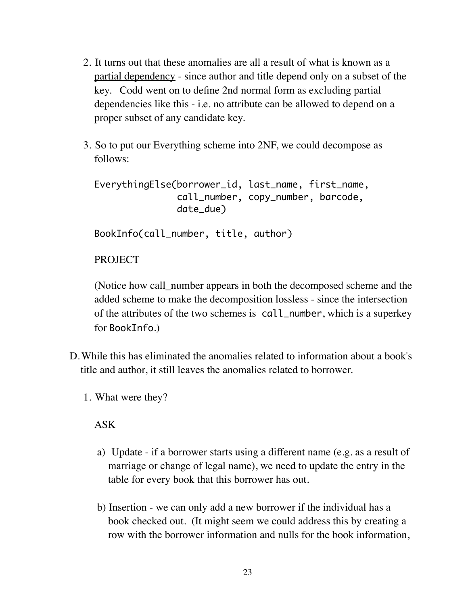- 2. It turns out that these anomalies are all a result of what is known as a partial dependency - since author and title depend only on a subset of the key. Codd went on to define 2nd normal form as excluding partial dependencies like this - i.e. no attribute can be allowed to depend on a proper subset of any candidate key.
- 3. So to put our Everything scheme into 2NF, we could decompose as follows:

EverythingElse(borrower\_id, last\_name, first\_name, call\_number, copy\_number, barcode, date\_due)

BookInfo(call\_number, title, author)

# **PROJECT**

(Notice how call\_number appears in both the decomposed scheme and the added scheme to make the decomposition lossless - since the intersection of the attributes of the two schemes is call\_number, which is a superkey for BookInfo.)

- D.While this has eliminated the anomalies related to information about a book's title and author, it still leaves the anomalies related to borrower.
	- 1. What were they?

### ASK

- a) Update if a borrower starts using a different name (e.g. as a result of marriage or change of legal name), we need to update the entry in the table for every book that this borrower has out.
- b) Insertion we can only add a new borrower if the individual has a book checked out. (It might seem we could address this by creating a row with the borrower information and nulls for the book information,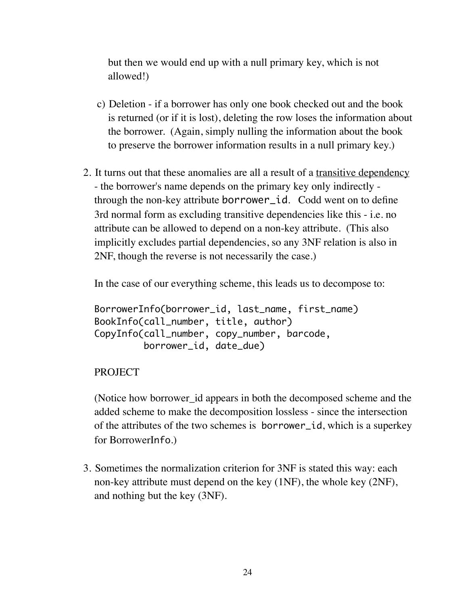but then we would end up with a null primary key, which is not allowed!)

- c) Deletion if a borrower has only one book checked out and the book is returned (or if it is lost), deleting the row loses the information about the borrower. (Again, simply nulling the information about the book to preserve the borrower information results in a null primary key.)
- 2. It turns out that these anomalies are all a result of a transitive dependency - the borrower's name depends on the primary key only indirectly through the non-key attribute borrower\_id. Codd went on to define 3rd normal form as excluding transitive dependencies like this - i.e. no attribute can be allowed to depend on a non-key attribute. (This also implicitly excludes partial dependencies, so any 3NF relation is also in 2NF, though the reverse is not necessarily the case.)

In the case of our everything scheme, this leads us to decompose to:

```
BorrowerInfo(borrower_id, last_name, first_name)
BookInfo(call_number, title, author)
CopyInfo(call_number, copy_number, barcode, 
          borrower_id, date_due)
```
## PROJECT

(Notice how borrower\_id appears in both the decomposed scheme and the added scheme to make the decomposition lossless - since the intersection of the attributes of the two schemes is borrower\_id, which is a superkey for BorrowerInfo.)

3. Sometimes the normalization criterion for 3NF is stated this way: each non-key attribute must depend on the key (1NF), the whole key (2NF), and nothing but the key (3NF).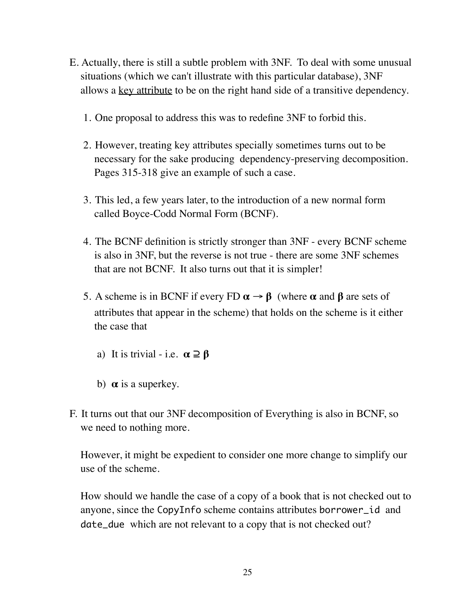- E. Actually, there is still a subtle problem with 3NF. To deal with some unusual situations (which we can't illustrate with this particular database), 3NF allows a <u>key attribute</u> to be on the right hand side of a transitive dependency.
	- 1. One proposal to address this was to redefine 3NF to forbid this.
	- 2. However, treating key attributes specially sometimes turns out to be necessary for the sake producing dependency-preserving decomposition. Pages 315-318 give an example of such a case.
	- 3. This led, a few years later, to the introduction of a new normal form called Boyce-Codd Normal Form (BCNF).
	- 4. The BCNF definition is strictly stronger than 3NF every BCNF scheme is also in 3NF, but the reverse is not true - there are some 3NF schemes that are not BCNF. It also turns out that it is simpler!
	- 5. A scheme is in BCNF if every FD  $\alpha \rightarrow \beta$  (where  $\alpha$  and  $\beta$  are sets of attributes that appear in the scheme) that holds on the scheme is it either the case that
		- a) It is trivial i.e.  $\alpha \supseteq \beta$
		- b)  $\alpha$  is a superkey.
- F. It turns out that our 3NF decomposition of Everything is also in BCNF, so we need to nothing more.

However, it might be expedient to consider one more change to simplify our use of the scheme.

How should we handle the case of a copy of a book that is not checked out to anyone, since the CopyInfo scheme contains attributes borrower\_id and date\_due which are not relevant to a copy that is not checked out?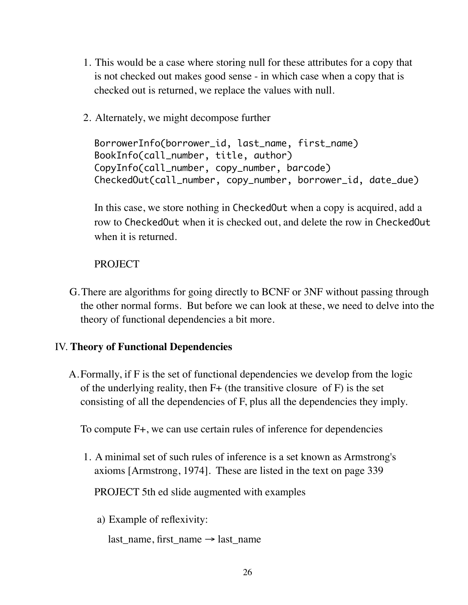- 1. This would be a case where storing null for these attributes for a copy that is not checked out makes good sense - in which case when a copy that is checked out is returned, we replace the values with null.
- 2. Alternately, we might decompose further

BorrowerInfo(borrower\_id, last\_name, first\_name) BookInfo(call\_number, title, author) CopyInfo(call\_number, copy\_number, barcode) CheckedOut(call\_number, copy\_number, borrower\_id, date\_due)

In this case, we store nothing in CheckedOut when a copy is acquired, add a row to CheckedOut when it is checked out, and delete the row in CheckedOut when it is returned.

# **PROJECT**

G.There are algorithms for going directly to BCNF or 3NF without passing through the other normal forms. But before we can look at these, we need to delve into the theory of functional dependencies a bit more.

# IV. **Theory of Functional Dependencies**

A.Formally, if F is the set of functional dependencies we develop from the logic of the underlying reality, then  $F+$  (the transitive closure of  $F$ ) is the set consisting of all the dependencies of F, plus all the dependencies they imply.

To compute F+, we can use certain rules of inference for dependencies

1. A minimal set of such rules of inference is a set known as Armstrong's axioms [Armstrong, 1974]. These are listed in the text on page 339

PROJECT 5th ed slide augmented with examples

a) Example of reflexivity:

last name, first name  $\rightarrow$  last name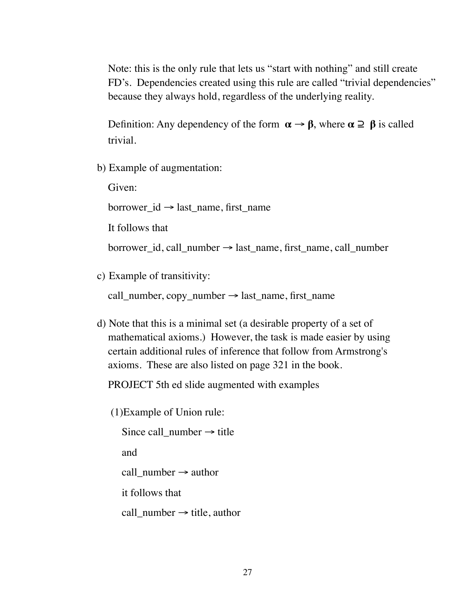Note: this is the only rule that lets us "start with nothing" and still create FD's. Dependencies created using this rule are called "trivial dependencies" because they always hold, regardless of the underlying reality.

Definition: Any dependency of the form  $\alpha \rightarrow \beta$ , where  $\alpha \supseteq \beta$  is called trivial.

b) Example of augmentation:

Given:

borrower\_id → last\_name, first\_name

It follows that

borrower id, call\_number  $\rightarrow$  last\_name, first\_name, call\_number

c) Example of transitivity:

call\_number,  $copy_number \rightarrow last_name$ , first\_name

d) Note that this is a minimal set (a desirable property of a set of mathematical axioms.) However, the task is made easier by using certain additional rules of inference that follow from Armstrong's axioms. These are also listed on page 321 in the book.

PROJECT 5th ed slide augmented with examples

(1)Example of Union rule:

Since call\_number  $\rightarrow$  title and call\_number  $\rightarrow$  author it follows that call number  $\rightarrow$  title, author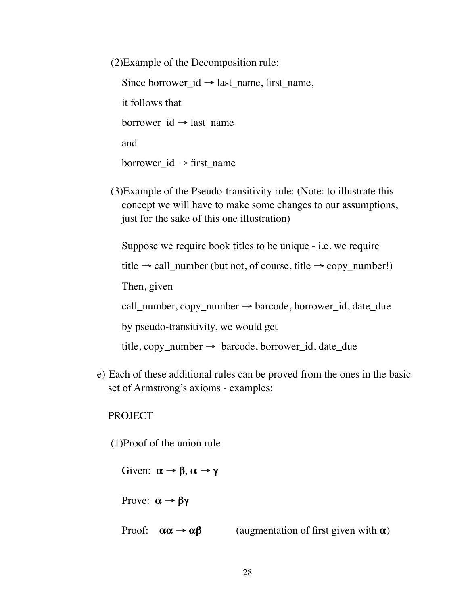(2)Example of the Decomposition rule: Since borrower\_id  $\rightarrow$  last\_name, first\_name, it follows that borrower\_id  $\rightarrow$  last\_name and borrower\_id  $\rightarrow$  first\_name

(3)Example of the Pseudo-transitivity rule: (Note: to illustrate this concept we will have to make some changes to our assumptions, just for the sake of this one illustration)

Suppose we require book titles to be unique - i.e. we require

title  $\rightarrow$  call\_number (but not, of course, title  $\rightarrow$  copy\_number!)

Then, given

call\_number, copy\_number  $\rightarrow$  barcode, borrower\_id, date\_due

by pseudo-transitivity, we would get

 $title, copy_number \rightarrow barcode, borrower_id, date\_due$ 

e) Each of these additional rules can be proved from the ones in the basic set of Armstrong's axioms - examples:

PROJECT

(1)Proof of the union rule

Given:  $\alpha \rightarrow \beta, \alpha \rightarrow \gamma$ Prove:  $\alpha \rightarrow \beta \gamma$ Proof:  $\alpha \alpha \rightarrow \alpha \beta$  (augmentation of first given with  $\alpha$ )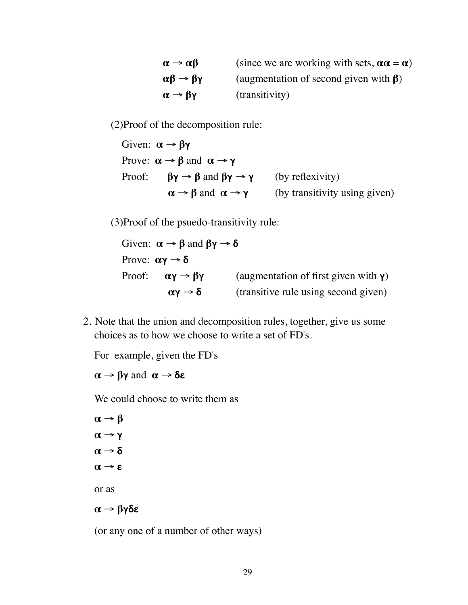| $\alpha \rightarrow \alpha \beta$     | (since we are working with sets, $\alpha \alpha = \alpha$ ) |
|---------------------------------------|-------------------------------------------------------------|
| $\alpha\beta \rightarrow \beta\gamma$ | (augmentation of second given with $\beta$ )                |
| $\alpha \rightarrow \beta \gamma$     | (transitivity)                                              |

(2)Proof of the decomposition rule:

Given:  $\alpha \rightarrow \beta \gamma$ Prove:  $\alpha \rightarrow \beta$  and  $\alpha \rightarrow \gamma$ Proof:  $\beta \gamma \rightarrow \beta$  and  $\beta \gamma \rightarrow \gamma$  (by reflexivity)  $\alpha \rightarrow \beta$  and  $\alpha \rightarrow \gamma$  (by transitivity using given)

(3)Proof of the psuedo-transitivity rule:

Given:  $\alpha \rightarrow \beta$  and  $\beta \gamma \rightarrow \delta$ Prove:  $\alpha \gamma \rightarrow \delta$ Proof:  $\alpha \gamma \rightarrow \beta \gamma$  (augmentation of first given with  $\gamma$ )  $\alpha \gamma \rightarrow \delta$  (transitive rule using second given)

2. Note that the union and decomposition rules, together, give us some choices as to how we choose to write a set of FD's.

For example, given the FD's

 $\alpha \rightarrow \beta \gamma$  and  $\alpha \rightarrow \delta \epsilon$ 

We could choose to write them as

 $\alpha \rightarrow \beta$  $\alpha \rightarrow \gamma$  $\alpha \rightarrow \delta$  $\alpha \rightarrow \epsilon$ or as  $\alpha \rightarrow \beta \gamma \delta \epsilon$ 

(or any one of a number of other ways)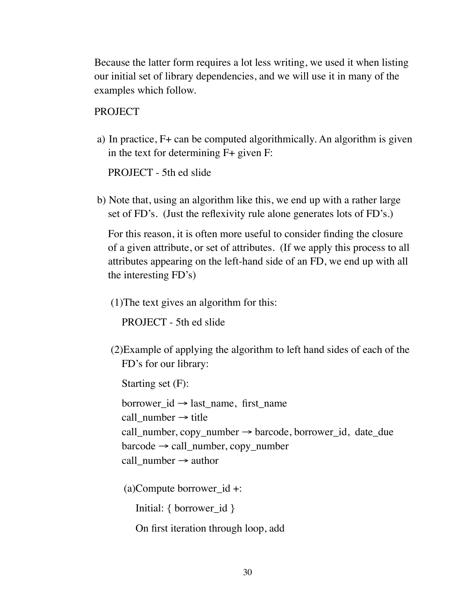Because the latter form requires a lot less writing, we used it when listing our initial set of library dependencies, and we will use it in many of the examples which follow.

PROJECT

a) In practice, F+ can be computed algorithmically. An algorithm is given in the text for determining F+ given F:

PROJECT - 5th ed slide

b) Note that, using an algorithm like this, we end up with a rather large set of FD's. (Just the reflexivity rule alone generates lots of FD's.)

For this reason, it is often more useful to consider finding the closure of a given attribute, or set of attributes. (If we apply this process to all attributes appearing on the left-hand side of an FD, we end up with all the interesting FD's)

(1)The text gives an algorithm for this:

PROJECT - 5th ed slide

(2)Example of applying the algorithm to left hand sides of each of the FD's for our library:

Starting set (F):

borrower  $id \rightarrow$  last name, first name call number  $\rightarrow$  title call\_number, copy\_number  $\rightarrow$  barcode, borrower\_id, date\_due  $barcode \rightarrow call$  number, copy number call\_number  $\rightarrow$  author

(a)Compute borrower\_id +:

Initial: { borrower\_id }

On first iteration through loop, add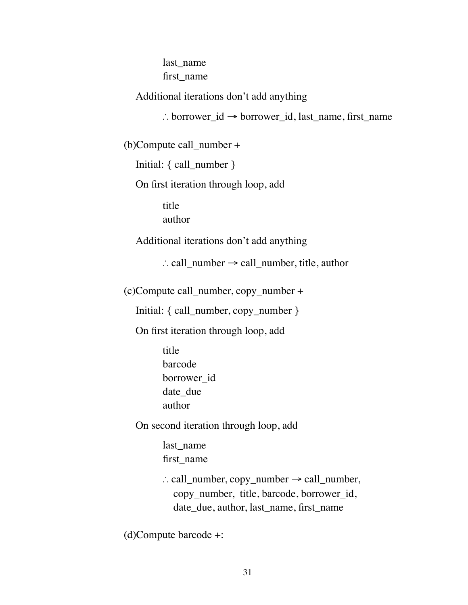last name first\_name

Additional iterations don't add anything

∴ borrower\_id → borrower\_id, last\_name, first\_name

(b)Compute call\_number +

Initial: { call\_number }

On first iteration through loop, add

title author

Additional iterations don't add anything

∴ call\_number → call\_number, title, author

(c)Compute call\_number, copy\_number +

Initial: { call\_number, copy\_number }

On first iteration through loop, add

title barcode borrower\_id date due author

On second iteration through loop, add

last name first\_name

∴ call\_number, copy\_number  $\rightarrow$  call\_number, copy\_number, title, barcode, borrower\_id, date\_due, author, last\_name, first\_name

(d)Compute barcode +: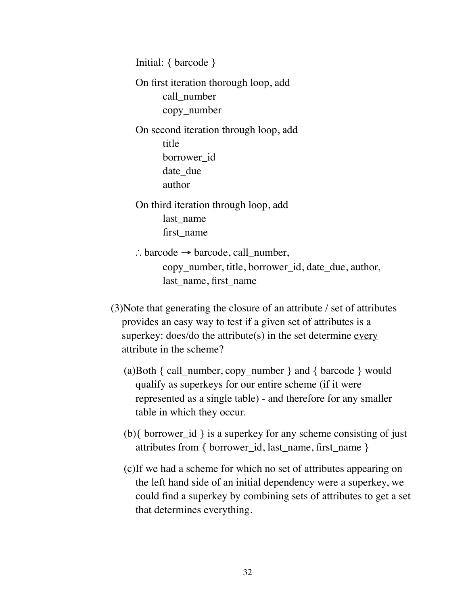```
Initial: { barcode } 
On first iteration thorough loop, add
      call_number 
      copy_number 
On second iteration through loop, add 
      title 
      borrower_id 
      date due
      author 
On third iteration through loop, add
      last name
      first_name 
∴ barcode \rightarrow barcode, call_number,
      copy_number, title, borrower_id, date_due, author,
```
last\_name, first\_name

- (3)Note that generating the closure of an attribute / set of attributes provides an easy way to test if a given set of attributes is a superkey: does/do the attribute $(s)$  in the set determine every attribute in the scheme?
	- (a)Both { call\_number, copy\_number } and { barcode } would qualify as superkeys for our entire scheme (if it were represented as a single table) - and therefore for any smaller table in which they occur.
	- (b){ borrower\_id } is a superkey for any scheme consisting of just attributes from { borrower\_id, last\_name, first\_name }
	- (c)If we had a scheme for which no set of attributes appearing on the left hand side of an initial dependency were a superkey, we could find a superkey by combining sets of attributes to get a set that determines everything.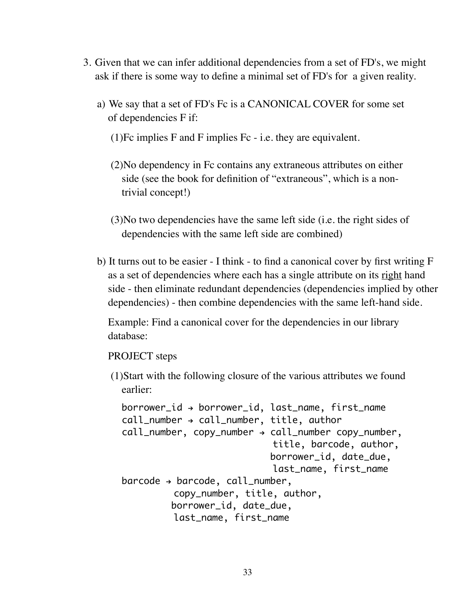- 3. Given that we can infer additional dependencies from a set of FD's, we might ask if there is some way to define a minimal set of FD's for a given reality.
	- a) We say that a set of FD's Fc is a CANONICAL COVER for some set of dependencies F if:
		- (1)Fc implies F and F implies Fc i.e. they are equivalent.
		- (2)No dependency in Fc contains any extraneous attributes on either side (see the book for definition of "extraneous", which is a nontrivial concept!)
		- (3)No two dependencies have the same left side (i.e. the right sides of dependencies with the same left side are combined)
	- b) It turns out to be easier I think to find a canonical cover by first writing F as a set of dependencies where each has a single attribute on its right hand side - then eliminate redundant dependencies (dependencies implied by other dependencies) - then combine dependencies with the same left-hand side.

Example: Find a canonical cover for the dependencies in our library database:

PROJECT steps

(1)Start with the following closure of the various attributes we found earlier:

```
borrower_id \rightarrow borrower_id, last_name, first_name
call_number \rightarrow call_number, title, author
call_number, copy_number \rightarrow call_number copy_number,
                                 title, barcode, author,
                                borrower_id, date_due, 
                                 last_name, first_name
barcode \rightarrow barcode, call_number, copy_number, title, author,
           borrower_id, date_due, 
            last_name, first_name
```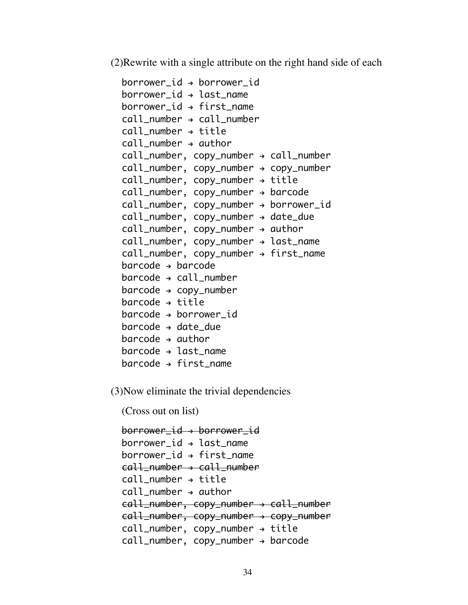(2)Rewrite with a single attribute on the right hand side of each

| $borrower_id \rightarrow borrower_id$         |
|-----------------------------------------------|
| $borrower_id \rightarrow last_name$           |
| $borrower_id \rightarrow first_name$          |
| $call_number \rightarrow call_number$         |
| $call_number \rightarrow title$               |
| $call_number \rightarrow author$              |
| call_number, copy_number → call_number        |
| call_number, copy_number → copy_number        |
| $call_number, copy_number \rightarrow title$  |
| call_number, copy_number → barcode            |
| call_number, copy_number → borrower_id        |
| call_number, copy_number → date_due           |
| $call_number, copy_number \rightarrow author$ |
| call_number, copy_number → last_name          |
| call_number, copy_number → first_name         |
| $barcode \rightarrow barcode$                 |
| $barcode \rightarrow call_number$             |
| $barcode \rightarrow copy_number$             |
| $barcode \rightarrow title$                   |
| $barcode \rightarrow borrower_id$             |
| $barcode \rightarrow date\_due$               |
| $barcode \rightarrow author$                  |
| $barcode \rightarrow last_name$               |
| $barcode \rightarrow first_name$              |

(3)Now eliminate the trivial dependencies

(Cross out on list)

borrower\_id > borrower\_id  $borrower_id \rightarrow last_name$  $borrower_id \rightarrow first_name$ call\_number > call\_number  $call_number \rightarrow title$  $call_number \rightarrow author$ call\_number, copy\_number > call\_number call\_number, copy\_number > copy\_number  $call_number, copy_number \rightarrow title$  $call_number, copy_number \rightarrow barcode$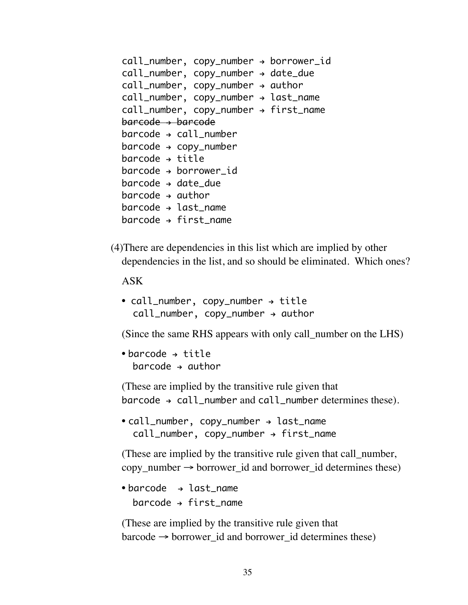```
call_number, copy_number \rightarrow borrower\_idcall_number, copy_number \rightarrow date\_duecall_number, copy_number \rightarrow authorcall_number, copy_number \rightarrow last_namecall_number, copy_number \rightarrow first_namebarcode > barcode
barcode \rightarrow call numberbarcode \rightarrow copy_numberbarcode \rightarrow titlebarcode \rightarrow borrower id
barcode \rightarrow date due
barcode \rightarrow authorbarcode \rightarrow last name
barcode \rightarrow first name
```
(4)There are dependencies in this list which are implied by other dependencies in the list, and so should be eliminated. Which ones?

ASK

```
• call_number, copy_number \rightarrow title
  call_number, copy_number \rightarrow author
```
(Since the same RHS appears with only call\_number on the LHS)

```
• barcode \rightarrow title
   barcode \rightarrow author
```
(These are implied by the transitive rule given that  $barcode \rightarrow call_number$  and call\_number determines these).

```
• call_number, copy_number \rightarrow last_name
  call_number, copy_number \rightarrow first_name
```
(These are implied by the transitive rule given that call\_number,  $copy_number \rightarrow borrower_id$  and borrower\_id determines these)

• barcode  $\rightarrow$  last\_name barcode  $\rightarrow$  first name

(These are implied by the transitive rule given that  $barcode \rightarrow borrower_id$  and borrower\_id determines these)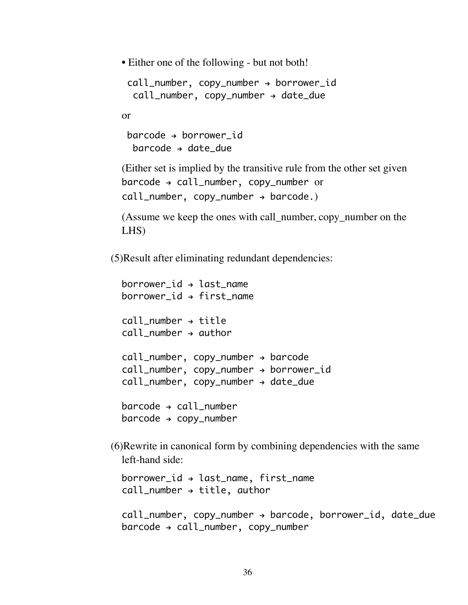• Either one of the following - but not both!

```
call_number, copy_number \rightarrow borrower\_idcall_number, copy_number \rightarrow date\_due
```
or

```
barcode \rightarrow borrower id
 barcode \rightarrow date due
```
(Either set is implied by the transitive rule from the other set given  $barcode \rightarrow call_number$ , copy\_number or  $call_number, copy_number \rightarrow barcode.)$ 

(Assume we keep the ones with call\_number, copy\_number on the LHS)

(5)Result after eliminating redundant dependencies:

```
borrower id \rightarrow last name
borrower_id \rightarrow first_namecall number \rightarrow title
call_number \rightarrow authorcall_number, copy_number \rightarrow barcodecall_number, copy_number \rightarrow borrower_idcall_number, copy_number \rightarrow date\_duebarcode \rightarrow call_numberbarcode \rightarrow copy_number
```
(6)Rewrite in canonical form by combining dependencies with the same left-hand side:

 $borrower_id \rightarrow last_name, first_name$  $call_number \rightarrow title, author$ 

```
call_number, copy_number \rightarrow barcode, borrower_id, date\_duebarcode \rightarrow call_number, copy_number
```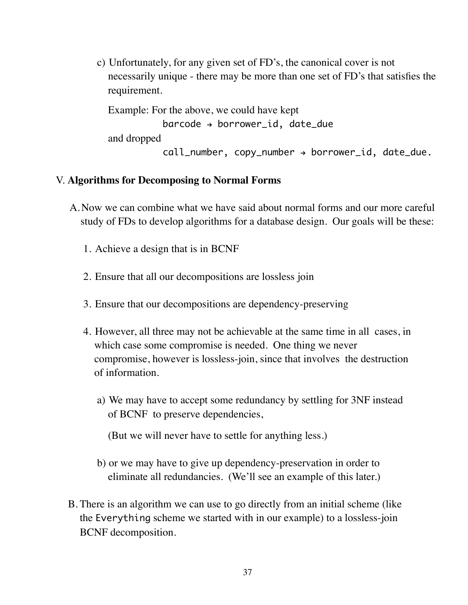c) Unfortunately, for any given set of FD's, the canonical cover is not necessarily unique - there may be more than one set of FD's that satisfies the requirement.

```
Example: For the above, we could have kept 
            barcode \rightarrow borrower\_id, date_due
and dropped 
            call_number, copy_number \rightarrow borrower\_id, date\_due.
```
#### V. **Algorithms for Decomposing to Normal Forms**

- A.Now we can combine what we have said about normal forms and our more careful study of FDs to develop algorithms for a database design. Our goals will be these:
	- 1. Achieve a design that is in BCNF
	- 2. Ensure that all our decompositions are lossless join
	- 3. Ensure that our decompositions are dependency-preserving
	- 4. However, all three may not be achievable at the same time in all cases, in which case some compromise is needed. One thing we never compromise, however is lossless-join, since that involves the destruction of information.
		- a) We may have to accept some redundancy by settling for 3NF instead of BCNF to preserve dependencies,
			- (But we will never have to settle for anything less.)
		- b) or we may have to give up dependency-preservation in order to eliminate all redundancies. (We'll see an example of this later.)
- B. There is an algorithm we can use to go directly from an initial scheme (like the Everything scheme we started with in our example) to a lossless-join BCNF decomposition.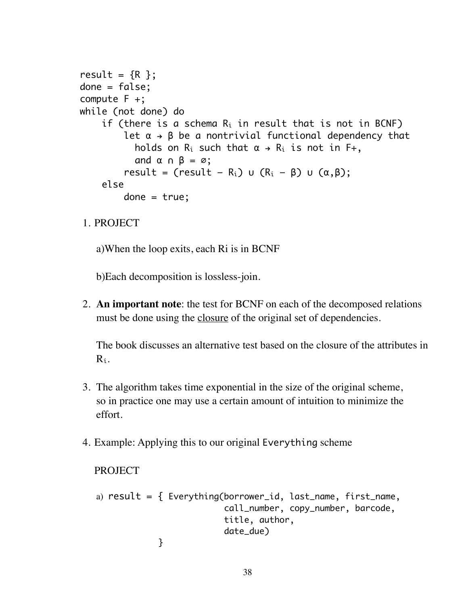```
result = {R} };
done = false; 
compute F +;
while (not done) do
     if (there is a schema R_i in result that is not in BCNF)
           let \alpha \rightarrow \beta be a nontrivial functional dependency that
             holds on R_i such that \alpha \rightarrow R_i is not in F+,
             and \alpha \alpha \beta = \varnothing;
           result = (result – R<sub>i</sub>) ∪ (R<sub>i</sub> – β) ∪ (\alpha, \beta);
      else 
           done = true;
```
1. PROJECT

a)When the loop exits, each Ri is in BCNF

b)Each decomposition is lossless-join.

2. **An important note**: the test for BCNF on each of the decomposed relations must be done using the closure of the original set of dependencies.

The book discusses an alternative test based on the closure of the attributes in Ri.

- 3. The algorithm takes time exponential in the size of the original scheme, so in practice one may use a certain amount of intuition to minimize the effort.
- 4. Example: Applying this to our original Everything scheme

```
PROJECT
a) result = \{ \frac{y}{x}, \frac{y}{y}\} Everything(borrower_id, last_name, first_name,
                               call_number, copy_number, barcode, 
                               title, author,
                               date_due)
    }
```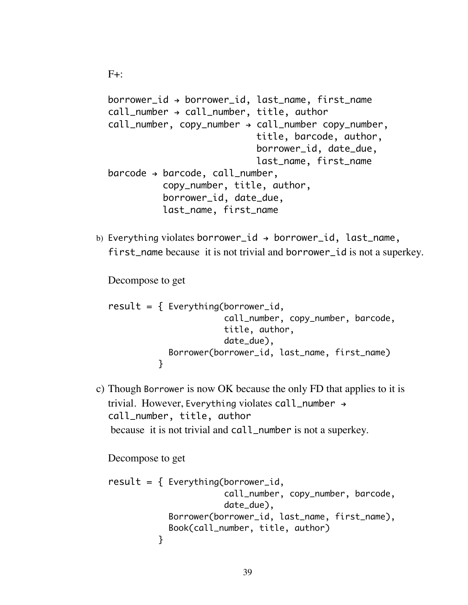```
borrower_id \rightarrow borrower_id, last_name, first_name
call_number \rightarrow call_number, title, author
call_number, copy_number \rightarrow call_number copy_number, title, barcode, author,
                                borrower_id, date_due, 
                                last_name, first_name
barcode \rightarrow barcode, call_number,copy_number, title, author,
            borrower_id, date_due, 
            last_name, first_name
```
b) Everything violates borrower\_id  $\rightarrow$  borrower\_id, last\_name, first\_name because it is not trivial and borrower\_id is not a superkey.

Decompose to get

 $F+$ :

```
result = \{ Everything(borrower_id,
                       call_number, copy_number, barcode, 
                       title, author,
                       date_due),
            Borrower(borrower_id, last_name, first_name)
 }
```
c) Though Borrower is now OK because the only FD that applies to it is trivial. However, Everything violates call\_number  $\rightarrow$ call\_number, title, author because it is not trivial and call\_number is not a superkey.

Decompose to get

```
result = \{ Everything(borrower_id,
                         call_number, copy_number, barcode,
                         date_due),
             Borrower(borrower_id, last_name, first_name),
             Book(call_number, title, author)
           }
```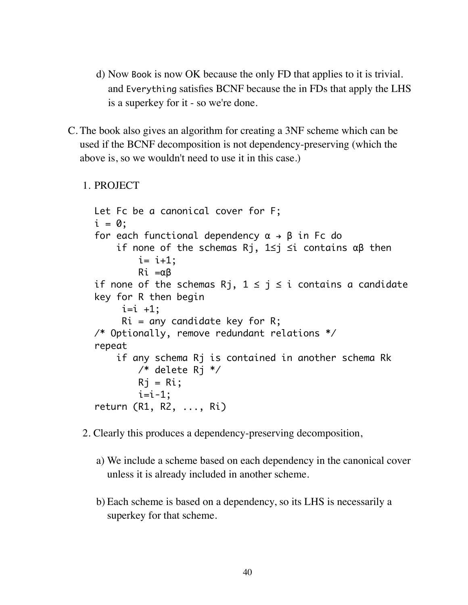- d) Now Book is now OK because the only FD that applies to it is trivial. and Everything satisfies BCNF because the in FDs that apply the LHS is a superkey for it - so we're done.
- C. The book also gives an algorithm for creating a 3NF scheme which can be used if the BCNF decomposition is not dependency-preserving (which the above is, so we wouldn't need to use it in this case.)

```
1. PROJECT
```

```
Let Fc be a canonical cover for F;
i = 0:
for each functional dependency \alpha \rightarrow \beta in Fc do
     if none of the schemas Rj, 1≤j ≤i contains αβ then 
        i= i+1;
         Ri =αβ
if none of the schemas Rj, 1 \le j \le i contains a candidate
key for R then begin
     i=i +1;
     Ri = any candidate key for R;
/* Optionally, remove redundant relations */
repeat
    if any schema Ri is contained in another schema Rk
         /* delete Rj */ 
        Rj = Ri;
        i=i-1;return (R1, R2, ..., Ri)
```
- 2. Clearly this produces a dependency-preserving decomposition,
	- a) We include a scheme based on each dependency in the canonical cover unless it is already included in another scheme.
	- b) Each scheme is based on a dependency, so its LHS is necessarily a superkey for that scheme.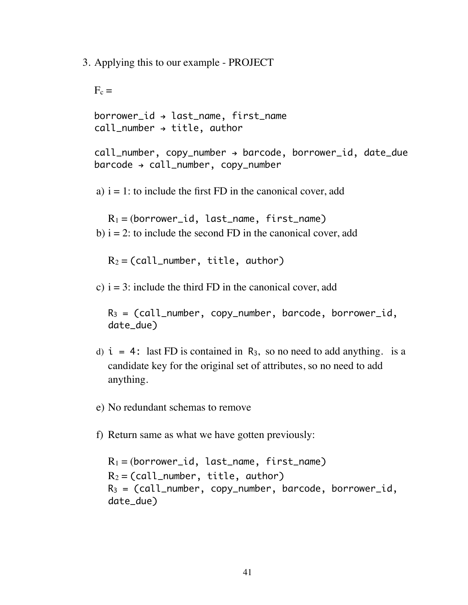3. Applying this to our example - PROJECT

 $F_c =$  $borrower_id \rightarrow last_name, first_name$  $call_number \rightarrow title, author$  $call_number, copy_number \rightarrow barcode, borrower_id, date\_due$  $barcode \rightarrow call_number$ , copy\_number a)  $i = 1$ : to include the first FD in the canonical cover, add  $R_1 = (borrower_id, last_name, first_name)$ b)  $i = 2$ : to include the second FD in the canonical cover, add  $R_2 = (call_number, title, author)$ c)  $i = 3$ : include the third FD in the canonical cover, add  $R_3 = (call_number, copy_number, barcode, borrower_id,$ date\_due)

- d)  $i = 4$ : last FD is contained in R<sub>3</sub>, so no need to add anything. is a candidate key for the original set of attributes, so no need to add anything.
- e) No redundant schemas to remove
- f) Return same as what we have gotten previously:

 $R_1 = (borrower_id, last_name, first_name)$  $R_2 = (call_number, title, author)$  $R_3 = (call_number, copy_number, barcode, borrower_id,$ date\_due)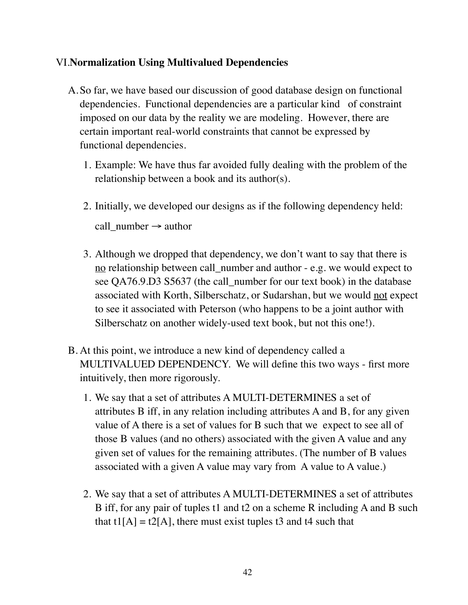# VI.**Normalization Using Multivalued Dependencies**

- A.So far, we have based our discussion of good database design on functional dependencies. Functional dependencies are a particular kind of constraint imposed on our data by the reality we are modeling. However, there are certain important real-world constraints that cannot be expressed by functional dependencies.
	- 1. Example: We have thus far avoided fully dealing with the problem of the relationship between a book and its author(s).
	- 2. Initially, we developed our designs as if the following dependency held: call\_number  $\rightarrow$  author
	- 3. Although we dropped that dependency, we don't want to say that there is no relationship between call\_number and author - e.g. we would expect to see QA76.9.D3 S5637 (the call\_number for our text book) in the database associated with Korth, Silberschatz, or Sudarshan, but we would not expect to see it associated with Peterson (who happens to be a joint author with Silberschatz on another widely-used text book, but not this one!).
- B. At this point, we introduce a new kind of dependency called a MULTIVALUED DEPENDENCY. We will define this two ways - first more intuitively, then more rigorously.
	- 1. We say that a set of attributes A MULTI-DETERMINES a set of attributes B iff, in any relation including attributes A and B, for any given value of A there is a set of values for B such that we expect to see all of those B values (and no others) associated with the given A value and any given set of values for the remaining attributes. (The number of B values associated with a given A value may vary from A value to A value.)
	- 2. We say that a set of attributes A MULTI-DETERMINES a set of attributes B iff, for any pair of tuples t1 and t2 on a scheme R including A and B such that t1[A] = t2[A], there must exist tuples t3 and t4 such that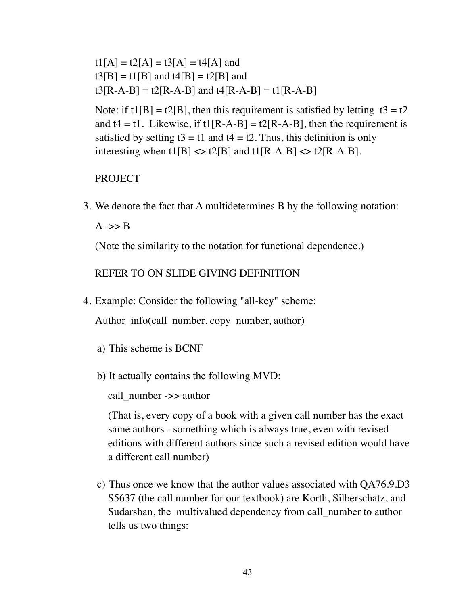$t1[A] = t2[A] = t3[A] = t4[A]$  and  $t3[B] = t1[B]$  and  $t4[B] = t2[B]$  and  $t3[R-A-B] = t2[R-A-B]$  and  $t4[R-A-B] = t1[R-A-B]$ 

Note: if  $t1[B] = t2[B]$ , then this requirement is satisfied by letting  $t3 = t2$ and  $t4 = t1$ . Likewise, if  $t1[R-A-B] = t2[R-A-B]$ , then the requirement is satisfied by setting  $t3 = t1$  and  $t4 = t2$ . Thus, this definition is only interesting when t1[B]  $\langle \rangle$  t2[B] and t1[R-A-B]  $\langle \rangle$  t2[R-A-B].

#### PROJECT

3. We denote the fact that A multidetermines B by the following notation:

 $A \rightarrow B$ 

(Note the similarity to the notation for functional dependence.)

REFER TO ON SLIDE GIVING DEFINITION

4. Example: Consider the following "all-key" scheme:

Author\_info(call\_number, copy\_number, author)

- a) This scheme is BCNF
- b) It actually contains the following MVD:

call\_number ->> author

(That is, every copy of a book with a given call number has the exact same authors - something which is always true, even with revised editions with different authors since such a revised edition would have a different call number)

c) Thus once we know that the author values associated with QA76.9.D3 S5637 (the call number for our textbook) are Korth, Silberschatz, and Sudarshan, the multivalued dependency from call number to author tells us two things: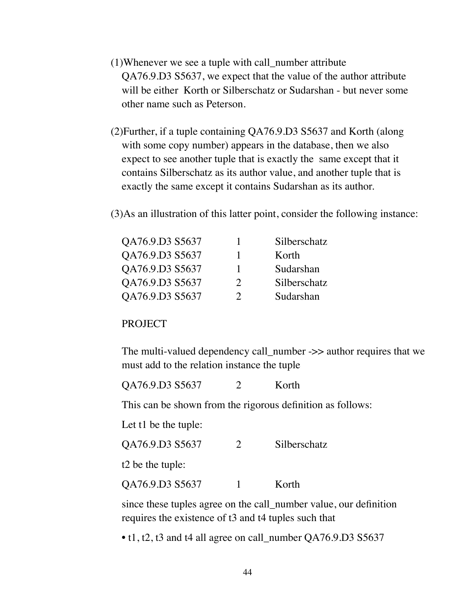- (1)Whenever we see a tuple with call\_number attribute QA76.9.D3 S5637, we expect that the value of the author attribute will be either Korth or Silberschatz or Sudarshan - but never some other name such as Peterson.
- (2)Further, if a tuple containing QA76.9.D3 S5637 and Korth (along with some copy number) appears in the database, then we also expect to see another tuple that is exactly the same except that it contains Silberschatz as its author value, and another tuple that is exactly the same except it contains Sudarshan as its author.
- (3)As an illustration of this latter point, consider the following instance:

| QA76.9.D3 S5637 |               | Silberschatz |
|-----------------|---------------|--------------|
| QA76.9.D3 S5637 |               | Korth        |
| QA76.9.D3 S5637 | T             | Sudarshan    |
| QA76.9.D3 S5637 | $\mathcal{D}$ | Silberschatz |
| QA76.9.D3 S5637 | 7             | Sudarshan    |

### PROJECT

The multi-valued dependency call\_number ->> author requires that we must add to the relation instance the tuple

QA76.9.D3 S5637 2 Korth

This can be shown from the rigorous definition as follows:

Let t1 be the tuple:

QA76.9.D3 S5637 2 Silberschatz

t2 be the tuple:

QA76.9.D3 S5637 1 Korth

since these tuples agree on the call\_number value, our definition requires the existence of t3 and t4 tuples such that

• t1, t2, t3 and t4 all agree on call\_number QA76.9.D3 S5637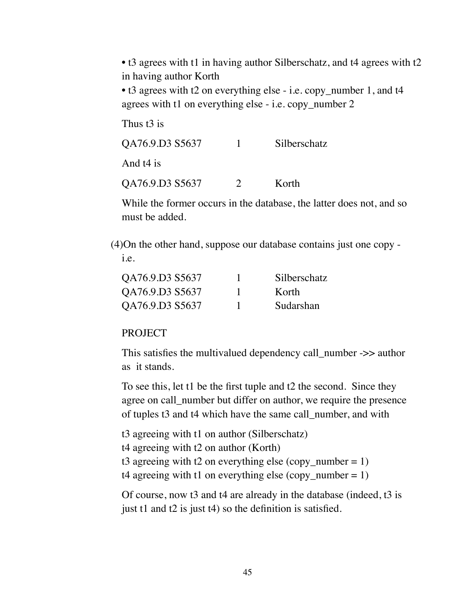• t3 agrees with t1 in having author Silberschatz, and t4 agrees with t2 in having author Korth

• t3 agrees with t2 on everything else - i.e. copy\_number 1, and t4 agrees with t1 on everything else - i.e. copy\_number 2

Thus t<sub>3</sub> is

| QA76.9.D3 S5637 |               | Silberschatz |  |
|-----------------|---------------|--------------|--|
| And t4 is       |               |              |  |
| QA76.9.D3 S5637 | $\mathcal{D}$ | Korth        |  |

While the former occurs in the database, the latter does not, and so must be added.

(4)On the other hand, suppose our database contains just one copy i.e.

| QA76.9.D3 S5637 | Silberschatz |
|-----------------|--------------|
| QA76.9.D3 S5637 | K orth       |
| QA76.9.D3 S5637 | Sudarshan    |

#### **PROJECT**

This satisfies the multivalued dependency call\_number ->> author as it stands.

To see this, let t1 be the first tuple and t2 the second. Since they agree on call\_number but differ on author, we require the presence of tuples t3 and t4 which have the same call\_number, and with

```
t3 agreeing with t1 on author (Silberschatz) 
t4 agreeing with t2 on author (Korth) 
t3 agreeing with t2 on everything else (copy_number = 1)
t4 agreeing with t1 on everything else (copy_number = 1)
```
Of course, now t3 and t4 are already in the database (indeed, t3 is just t1 and t2 is just t4) so the definition is satisfied.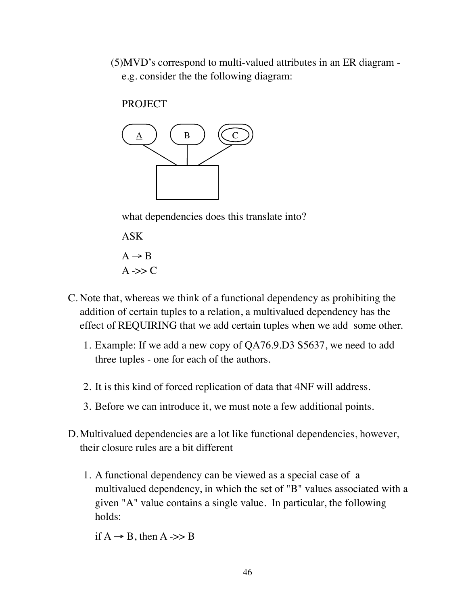(5)MVD's correspond to multi-valued attributes in an ER diagram e.g. consider the the following diagram:

PROJECT



what dependencies does this translate into?

ASK  $A \rightarrow B$  $A \rightarrow C$ 

- C. Note that, whereas we think of a functional dependency as prohibiting the addition of certain tuples to a relation, a multivalued dependency has the effect of REQUIRING that we add certain tuples when we add some other.
	- 1. Example: If we add a new copy of QA76.9.D3 S5637, we need to add three tuples - one for each of the authors.
	- 2. It is this kind of forced replication of data that 4NF will address.
	- 3. Before we can introduce it, we must note a few additional points.
- D.Multivalued dependencies are a lot like functional dependencies, however, their closure rules are a bit different
	- 1. A functional dependency can be viewed as a special case of a multivalued dependency, in which the set of "B" values associated with a given "A" value contains a single value. In particular, the following holds:

if  $A \rightarrow B$ , then  $A \rightarrow B$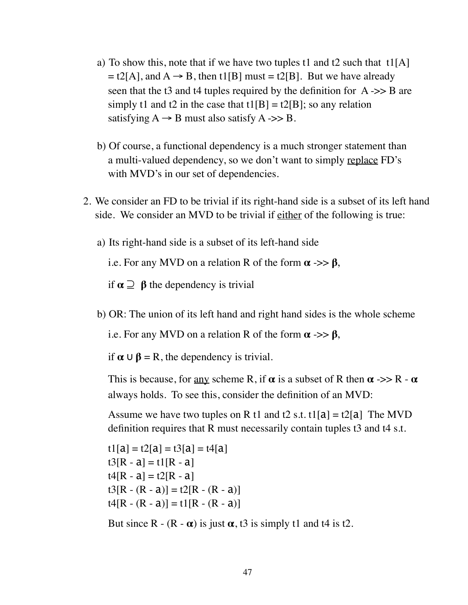- a) To show this, note that if we have two tuples t1 and t2 such that  $t1[A]$  $=$  t2[A], and A  $\rightarrow$  B, then t1[B] must = t2[B]. But we have already seen that the t3 and t4 tuples required by the definition for  $A \rightarrow B$  are simply t1 and t2 in the case that  $t1[B] = t2[B]$ ; so any relation satisfying  $A \rightarrow B$  must also satisfy  $A \rightarrow B$ .
- b) Of course, a functional dependency is a much stronger statement than a multi-valued dependency, so we don't want to simply replace FD's with MVD's in our set of dependencies.
- 2. We consider an FD to be trivial if its right-hand side is a subset of its left hand side. We consider an MVD to be trivial if either of the following is true:
	- a) Its right-hand side is a subset of its left-hand side

i.e. For any MVD on a relation R of the form  $\alpha \rightarrow > \beta$ ,

if  $\alpha \supseteq \beta$  the dependency is trivial

b) OR: The union of its left hand and right hand sides is the whole scheme

i.e. For any MVD on a relation R of the form  $\alpha \gg \beta$ ,

if  $\alpha \cup \beta = R$ , the dependency is trivial.

This is because, for <u>any</u> scheme R, if  $\alpha$  is a subset of R then  $\alpha \rightarrow > R - \alpha$ always holds. To see this, consider the definition of an MVD:

Assume we have two tuples on R t1 and t2 s.t. t1[a] = t2[a] The MVD definition requires that R must necessarily contain tuples t3 and t4 s.t.

 $t1[a] = t2[a] = t3[a] = t4[a]$  $t3[R - a] = t1[R - a]$  $t4[R - a] = t2[R - a]$  $t3[R - (R - a)] = t2[R - (R - a)]$  $t4[R - (R - a)] = t1[R - (R - a)]$ 

But since R -  $(R - \alpha)$  is just  $\alpha$ , t3 is simply t1 and t4 is t2.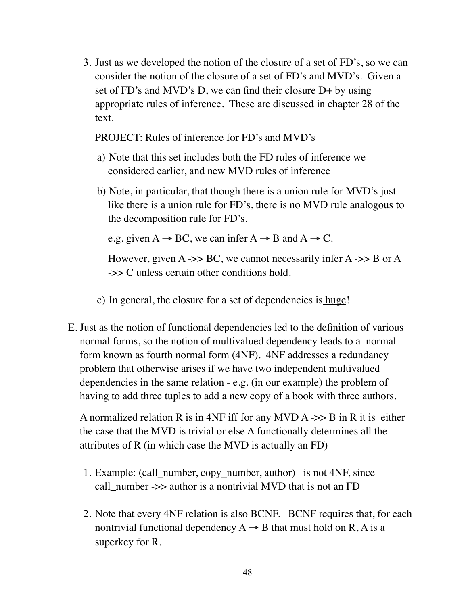3. Just as we developed the notion of the closure of a set of FD's, so we can consider the notion of the closure of a set of FD's and MVD's. Given a set of FD's and MVD's D, we can find their closure D+ by using appropriate rules of inference. These are discussed in chapter 28 of the text.

PROJECT: Rules of inference for FD's and MVD's

- a) Note that this set includes both the FD rules of inference we considered earlier, and new MVD rules of inference
- b) Note, in particular, that though there is a union rule for MVD's just like there is a union rule for FD's, there is no MVD rule analogous to the decomposition rule for FD's.

e.g. given  $A \rightarrow BC$ , we can infer  $A \rightarrow B$  and  $A \rightarrow C$ .

However, given  $A \rightarrow B$ C, we cannot necessarily infer  $A \rightarrow B$  or  $A$ ->> C unless certain other conditions hold.

c) In general, the closure for a set of dependencies is huge!

E. Just as the notion of functional dependencies led to the definition of various normal forms, so the notion of multivalued dependency leads to a normal form known as fourth normal form (4NF). 4NF addresses a redundancy problem that otherwise arises if we have two independent multivalued dependencies in the same relation - e.g. (in our example) the problem of having to add three tuples to add a new copy of a book with three authors.

A normalized relation R is in 4NF iff for any MVD  $A \rightarrow B$  in R it is either the case that the MVD is trivial or else A functionally determines all the attributes of R (in which case the MVD is actually an FD)

- 1. Example: (call\_number, copy\_number, author) is not 4NF, since call number ->> author is a nontrivial MVD that is not an FD
- 2. Note that every 4NF relation is also BCNF. BCNF requires that, for each nontrivial functional dependency  $A \rightarrow B$  that must hold on R, A is a superkey for R.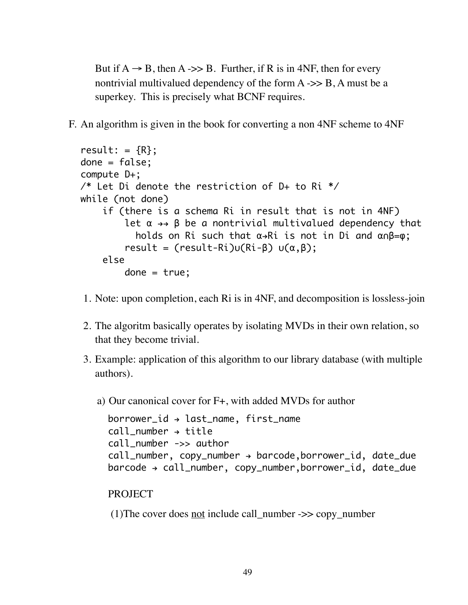But if  $A \rightarrow B$ , then A ->> B. Further, if R is in 4NF, then for every nontrivial multivalued dependency of the form  $A \rightarrow B$ , A must be a superkey. This is precisely what BCNF requires.

F. An algorithm is given in the book for converting a non 4NF scheme to 4NF

```
result: =\{R\};
done = false;
compute D+;
/* Let Di denote the restriction of D+ to Ri */
while (not done)
      if (there is a schema Ri in result that is not in 4NF)
          let \alpha \rightarrow \beta be a nontrivial multivalued dependency that
            holds on Ri such that \alpha \rightarrow Ri is not in Di and \alpha \cap B = \varphi;
          result = (result-Ri)u(Ri-\beta) u(\alpha,\beta); else
         done = true;
```
- 1. Note: upon completion, each Ri is in 4NF, and decomposition is lossless-join
- 2. The algoritm basically operates by isolating MVDs in their own relation, so that they become trivial.
- 3. Example: application of this algorithm to our library database (with multiple authors).
	- a) Our canonical cover for F+, with added MVDs for author

```
borrower_id \rightarrow last_name, first_namecall number \rightarrow title
call_number ->> author
call_number, copy_number \rightarrow barcode, borrowingr_id, date_duebarcode > call_number, copy_number,borrower_id, date_due
```

```
PROJECT
```
(1) The cover does not include call number  $\Rightarrow$  copy number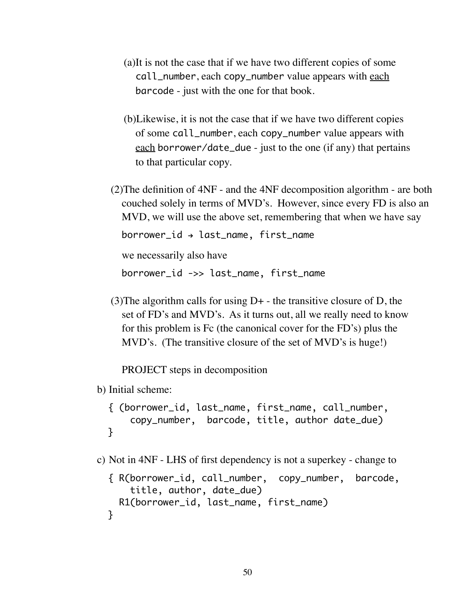- (a)It is not the case that if we have two different copies of some call\_number, each copy\_number value appears with each barcode - just with the one for that book.
- (b)Likewise, it is not the case that if we have two different copies of some call\_number, each copy\_number value appears with each borrower/date\_due - just to the one (if any) that pertains to that particular copy.
- (2)The definition of 4NF and the 4NF decomposition algorithm are both couched solely in terms of MVD's. However, since every FD is also an MVD, we will use the above set, remembering that when we have say

 $borrower_id \rightarrow last_name, first_name$ 

we necessarily also have

borrower\_id ->> last\_name, first\_name

(3) The algorithm calls for using  $D<sub>+</sub>$  - the transitive closure of D, the set of FD's and MVD's. As it turns out, all we really need to know for this problem is Fc (the canonical cover for the FD's) plus the MVD's. (The transitive closure of the set of MVD's is huge!)

PROJECT steps in decomposition

b) Initial scheme:

```
{ (borrower_id, last_name, first_name, call_number, 
     copy_number, barcode, title, author date_due)
}
```
c) Not in 4NF - LHS of first dependency is not a superkey - change to

```
{ R(borrower_id, call_number, copy_number, barcode,
     title, author, date_due) 
  R1(borrower_id, last_name, first_name)
}
```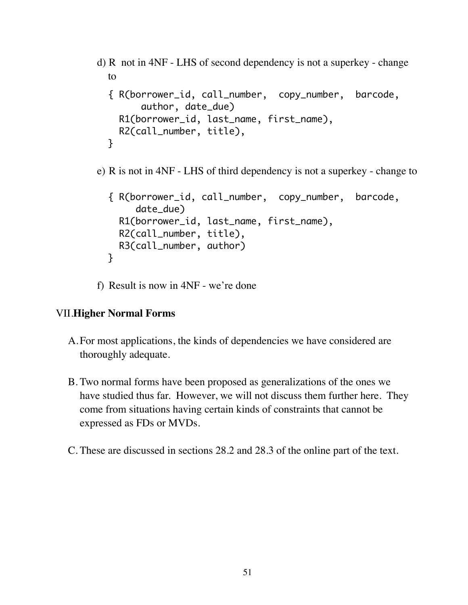```
d) R not in 4NF - LHS of second dependency is not a superkey - change 
  to 
  { R(borrower_id, call_number, copy_number, barcode,
         author, date_due) 
     R1(borrower_id, last_name, first_name),
     R2(call_number, title),
  }
```
e) R is not in 4NF - LHS of third dependency is not a superkey - change to

```
{ R(borrower_id, call_number, copy_number, barcode, 
      date_due) 
   R1(borrower_id, last_name, first_name),
   R2(call_number, title),
   R3(call_number, author)
}
```
f) Result is now in 4NF - we're done

### VII.**Higher Normal Forms**

- A.For most applications, the kinds of dependencies we have considered are thoroughly adequate.
- B. Two normal forms have been proposed as generalizations of the ones we have studied thus far. However, we will not discuss them further here. They come from situations having certain kinds of constraints that cannot be expressed as FDs or MVDs.
- C. These are discussed in sections 28.2 and 28.3 of the online part of the text.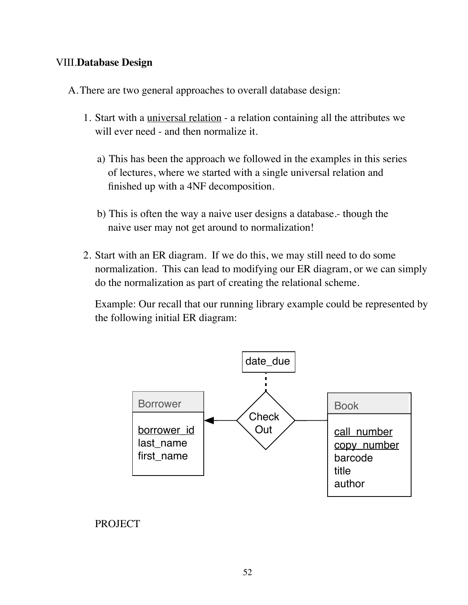# VIII.**Database Design**

- A.There are two general approaches to overall database design:
	- 1. Start with a universal relation a relation containing all the attributes we will ever need - and then normalize it.
		- a) This has been the approach we followed in the examples in this series of lectures, where we started with a single universal relation and finished up with a 4NF decomposition.
		- b) This is often the way a naive user designs a database.- though the naive user may not get around to normalization!
	- 2. Start with an ER diagram. If we do this, we may still need to do some normalization. This can lead to modifying our ER diagram, or we can simply do the normalization as part of creating the relational scheme.

Example: Our recall that our running library example could be represented by the following initial ER diagram:



# PROJECT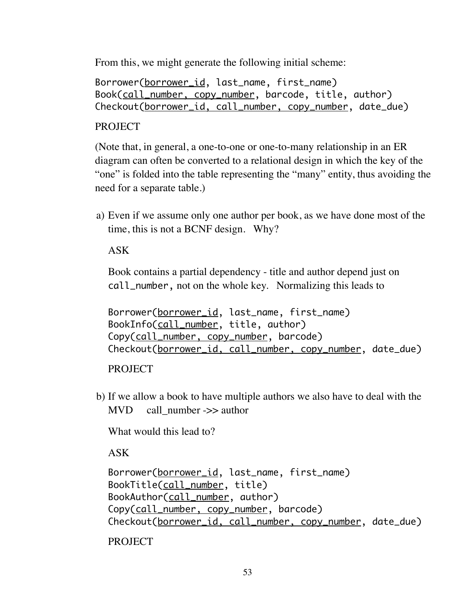From this, we might generate the following initial scheme:

Borrower(borrower\_id, last\_name, first\_name) Book(call\_number, copy\_number, barcode, title, author) Checkout(borrower\_id, call\_number, copy\_number, date\_due)

# **PROJECT**

(Note that, in general, a one-to-one or one-to-many relationship in an ER diagram can often be converted to a relational design in which the key of the "one" is folded into the table representing the "many" entity, thus avoiding the need for a separate table.)

a) Even if we assume only one author per book, as we have done most of the time, this is not a BCNF design. Why?

ASK

Book contains a partial dependency - title and author depend just on call\_number, not on the whole key. Normalizing this leads to

Borrower(borrower\_id, last\_name, first\_name) BookInfo(call\_number, title, author) Copy(call\_number, copy\_number, barcode) Checkout(borrower\_id, call\_number, copy\_number, date\_due)

PROJECT

b) If we allow a book to have multiple authors we also have to deal with the  $MVD$  call number ->> author

What would this lead to?

ASK

```
Borrower(borrower_id, last_name, first_name)
BookTitle(call_number, title)
BookAuthor(call_number, author)
Copy(call_number, copy_number, barcode)
Checkout(borrower_id, call_number, copy_number, date_due)
PROJECT
```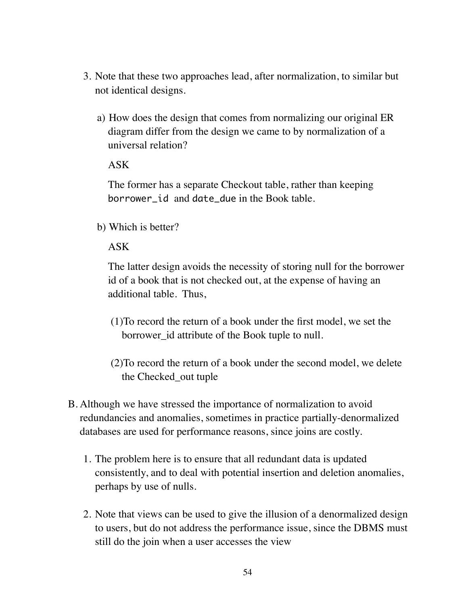- 3. Note that these two approaches lead, after normalization, to similar but not identical designs.
	- a) How does the design that comes from normalizing our original ER diagram differ from the design we came to by normalization of a universal relation?

### ASK

The former has a separate Checkout table, rather than keeping borrower\_id and date\_due in the Book table.

b) Which is better?

### ASK

The latter design avoids the necessity of storing null for the borrower id of a book that is not checked out, at the expense of having an additional table. Thus,

- (1)To record the return of a book under the first model, we set the borrower\_id attribute of the Book tuple to null.
- (2)To record the return of a book under the second model, we delete the Checked\_out tuple
- B. Although we have stressed the importance of normalization to avoid redundancies and anomalies, sometimes in practice partially-denormalized databases are used for performance reasons, since joins are costly.
	- 1. The problem here is to ensure that all redundant data is updated consistently, and to deal with potential insertion and deletion anomalies, perhaps by use of nulls.
	- 2. Note that views can be used to give the illusion of a denormalized design to users, but do not address the performance issue, since the DBMS must still do the join when a user accesses the view